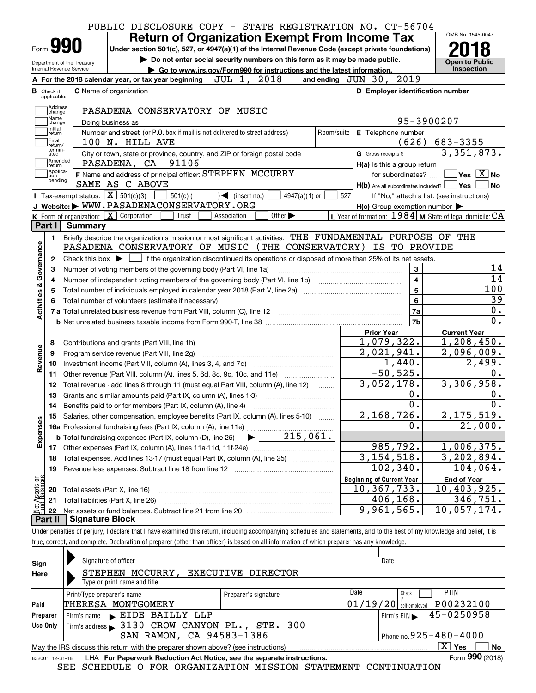|                                                   | PUBLIC DISCLOSURE COPY - STATE REGISTRATION NO. CT-56704                                                                                                                                                                                                                                                                                                                                                                      |            |                                                           |                                             |
|---------------------------------------------------|-------------------------------------------------------------------------------------------------------------------------------------------------------------------------------------------------------------------------------------------------------------------------------------------------------------------------------------------------------------------------------------------------------------------------------|------------|-----------------------------------------------------------|---------------------------------------------|
|                                                   | <b>Return of Organization Exempt From Income Tax</b>                                                                                                                                                                                                                                                                                                                                                                          |            |                                                           | OMB No. 1545-0047                           |
| Form 990                                          | Under section 501(c), 527, or 4947(a)(1) of the Internal Revenue Code (except private foundations)                                                                                                                                                                                                                                                                                                                            |            |                                                           |                                             |
| Department of the Treasury                        | Do not enter social security numbers on this form as it may be made public.                                                                                                                                                                                                                                                                                                                                                   |            |                                                           | <b>Open to Public</b>                       |
| Internal Revenue Service                          | Go to www.irs.gov/Form990 for instructions and the latest information.                                                                                                                                                                                                                                                                                                                                                        |            |                                                           | Inspection                                  |
|                                                   | $\overline{\text{JUL}}$ 1, 2018<br>A For the 2018 calendar year, or tax year beginning                                                                                                                                                                                                                                                                                                                                        |            | and ending JUN 30, 2019                                   |                                             |
| <b>B</b> Check if<br>applicable:                  | C Name of organization                                                                                                                                                                                                                                                                                                                                                                                                        |            | D Employer identification number                          |                                             |
| Address                                           |                                                                                                                                                                                                                                                                                                                                                                                                                               |            |                                                           |                                             |
| change<br>Name                                    | PASADENA CONSERVATORY OF MUSIC                                                                                                                                                                                                                                                                                                                                                                                                |            | 95-3900207                                                |                                             |
| change<br>Initial                                 | Doing business as                                                                                                                                                                                                                                                                                                                                                                                                             |            |                                                           |                                             |
| return<br>Final                                   | Number and street (or P.O. box if mail is not delivered to street address)<br>100 N. HILL AVE                                                                                                                                                                                                                                                                                                                                 | Room/suite | E Telephone number<br>(626)                               | 683-3355                                    |
| return/<br>termin-                                | City or town, state or province, country, and ZIP or foreign postal code                                                                                                                                                                                                                                                                                                                                                      |            | G Gross receipts \$                                       | 3,351,873.                                  |
| ated<br>Amended                                   | PASADENA, CA 91106                                                                                                                                                                                                                                                                                                                                                                                                            |            |                                                           |                                             |
| return<br>Applica-<br>tion                        | F Name and address of principal officer: STEPHEN MCCURRY                                                                                                                                                                                                                                                                                                                                                                      |            | H(a) Is this a group return                               | for subordinates? $\Box$ Yes $\boxed{X}$ No |
| pending                                           | SAME AS C ABOVE                                                                                                                                                                                                                                                                                                                                                                                                               |            | $H(b)$ Are all subordinates included? $\Box$ Yes          | ∣No                                         |
| Tax-exempt status: $\boxed{\mathbf{X}}$ 501(c)(3) | $501(c)$ (<br>$\rightarrow$ (insert no.)<br>$4947(a)(1)$ or                                                                                                                                                                                                                                                                                                                                                                   | 527        |                                                           | If "No," attach a list. (see instructions)  |
|                                                   | J Website: WWW.PASADENACONSERVATORY.ORG                                                                                                                                                                                                                                                                                                                                                                                       |            | $H(c)$ Group exemption number $\blacktriangleright$       |                                             |
| K Form of organization: X Corporation             | Trust<br>Association<br>Other $\blacktriangleright$                                                                                                                                                                                                                                                                                                                                                                           |            | L Year of formation: $1984$ M State of legal domicile: CA |                                             |
| Part I Summary                                    |                                                                                                                                                                                                                                                                                                                                                                                                                               |            |                                                           |                                             |
| 1.                                                | Briefly describe the organization's mission or most significant activities: THE FUNDAMENTAL PURPOSE OF THE                                                                                                                                                                                                                                                                                                                    |            |                                                           |                                             |
|                                                   | PASADENA CONSERVATORY OF MUSIC (THE CONSERVATORY)                                                                                                                                                                                                                                                                                                                                                                             |            | IS TO PROVIDE                                             |                                             |
| 2                                                 | Check this box $\blacktriangleright$ $\Box$ if the organization discontinued its operations or disposed of more than 25% of its net assets.                                                                                                                                                                                                                                                                                   |            |                                                           |                                             |
| з                                                 | Number of voting members of the governing body (Part VI, line 1a)                                                                                                                                                                                                                                                                                                                                                             |            | $\mathbf{3}$                                              | 14                                          |
| 4                                                 |                                                                                                                                                                                                                                                                                                                                                                                                                               |            | $\overline{4}$                                            | 14                                          |
| 5                                                 |                                                                                                                                                                                                                                                                                                                                                                                                                               |            | $\overline{5}$                                            | 100                                         |
|                                                   |                                                                                                                                                                                                                                                                                                                                                                                                                               |            | $6\phantom{a}$                                            | 39                                          |
| Activities & Governance                           |                                                                                                                                                                                                                                                                                                                                                                                                                               |            | 7a                                                        | 0.                                          |
|                                                   |                                                                                                                                                                                                                                                                                                                                                                                                                               |            | 7 <sub>b</sub>                                            | 0.                                          |
|                                                   |                                                                                                                                                                                                                                                                                                                                                                                                                               |            | <b>Prior Year</b>                                         | <b>Current Year</b>                         |
| 8                                                 | Contributions and grants (Part VIII, line 1h)                                                                                                                                                                                                                                                                                                                                                                                 |            | 1,079,322.                                                | 1,208,450.                                  |
| Revenue<br>9                                      | Program service revenue (Part VIII, line 2g)                                                                                                                                                                                                                                                                                                                                                                                  |            | 2,021,941.                                                | 2,096,009.                                  |
| 10                                                |                                                                                                                                                                                                                                                                                                                                                                                                                               |            | 1,440.                                                    | $\overline{2}$ , 499.                       |
| 11                                                | Other revenue (Part VIII, column (A), lines 5, 6d, 8c, 9c, 10c, and 11e)                                                                                                                                                                                                                                                                                                                                                      |            | $-50, 525.$                                               | 0.                                          |
| 12                                                | Total revenue - add lines 8 through 11 (must equal Part VIII, column (A), line 12)                                                                                                                                                                                                                                                                                                                                            |            | 3,052,178.                                                | 3,306,958.                                  |
| 13                                                | Grants and similar amounts paid (Part IX, column (A), lines 1-3)                                                                                                                                                                                                                                                                                                                                                              |            | 0.                                                        | 0.                                          |
|                                                   | 14 Benefits paid to or for members (Part IX, column (A), line 4)                                                                                                                                                                                                                                                                                                                                                              |            | 0.                                                        | 0.                                          |
| 15                                                | Salaries, other compensation, employee benefits (Part IX, column (A), lines 5-10)                                                                                                                                                                                                                                                                                                                                             |            | 2,168,726.                                                | 2,175,519.                                  |
| Expenses                                          |                                                                                                                                                                                                                                                                                                                                                                                                                               |            | 0.                                                        | 21,000.                                     |
|                                                   | 215,061.<br><b>b</b> Total fundraising expenses (Part IX, column (D), line 25)                                                                                                                                                                                                                                                                                                                                                |            |                                                           |                                             |
| 17                                                | Other expenses (Part IX, column (A), lines 11a-11d, 11f-24e)<br>$\mathcal{L} = \{1, 2, \ldots, 2, \ldots, 2, \ldots, 2, \ldots, 2, \ldots, 2, \ldots, 2, \ldots, 2, \ldots, 2, \ldots, 2, \ldots, 2, \ldots, 2, \ldots, 2, \ldots, 2, \ldots, 2, \ldots, 2, \ldots, 2, \ldots, 2, \ldots, 2, \ldots, 2, \ldots, 2, \ldots, 2, \ldots, 2, \ldots, 2, \ldots, 2, \ldots, 2, \ldots, 2, \ldots, 2, \ldots, 2, \ldots, 2, \ldots$ |            | 985,792.                                                  | 1,006,375.                                  |
| 18                                                | Total expenses. Add lines 13-17 (must equal Part IX, column (A), line 25)                                                                                                                                                                                                                                                                                                                                                     |            | $\overline{3,154,518}$ .                                  | 3, 202, 894.                                |
| 19                                                | Revenue less expenses. Subtract line 18 from line 12                                                                                                                                                                                                                                                                                                                                                                          |            | $-102, 340.$                                              | 104,064.                                    |
|                                                   |                                                                                                                                                                                                                                                                                                                                                                                                                               |            | <b>Beginning of Current Year</b>                          | <b>End of Year</b>                          |
| 20                                                | Total assets (Part X, line 16)                                                                                                                                                                                                                                                                                                                                                                                                |            | 10, 367, 733.                                             | 10,403,925.                                 |
| Net Assets or<br>Fund Balances<br>21              | Total liabilities (Part X, line 26)                                                                                                                                                                                                                                                                                                                                                                                           |            | 406,168.                                                  | 346,751.                                    |
| 22                                                |                                                                                                                                                                                                                                                                                                                                                                                                                               |            | 9,961,565.                                                | 10,057,174.                                 |
| Part II                                           | <b>Signature Block</b>                                                                                                                                                                                                                                                                                                                                                                                                        |            |                                                           |                                             |

true, correct, and complete. Declaration of preparer (other than officer) is based on all information of which preparer has any knowledge.

| Sign     | Signature of officer                                                                                         |                      | Date                                     |  |  |  |  |
|----------|--------------------------------------------------------------------------------------------------------------|----------------------|------------------------------------------|--|--|--|--|
| Here     | <b>STEPHEN</b><br>MCCURRY,                                                                                   | EXECUTIVE DIRECTOR   |                                          |  |  |  |  |
|          | Type or print name and title                                                                                 |                      |                                          |  |  |  |  |
|          | Print/Type preparer's name                                                                                   | Preparer's signature | Date<br><b>PTIN</b><br>Check             |  |  |  |  |
| Paid     | THERESA MONTGOMERY                                                                                           |                      | P00232100<br> 01/19/20 <br>self-emploved |  |  |  |  |
| Preparer | Firm's name EIDE BAILLY LLP                                                                                  |                      | 45-0250958<br>Firm's $EIN$               |  |  |  |  |
| Use Only | Firm's address > 3130 CROW CANYON PL., STE. 300                                                              |                      |                                          |  |  |  |  |
|          | SAN RAMON, CA 94583-1386                                                                                     |                      | Phone no. $925 - 480 - 4000$             |  |  |  |  |
|          | ΧI<br>Yes<br>No<br>May the IRS discuss this return with the preparer shown above? (see instructions)         |                      |                                          |  |  |  |  |
|          | Form 990 (2018)<br>LHA For Paperwork Reduction Act Notice, see the separate instructions.<br>832001 12-31-18 |                      |                                          |  |  |  |  |

SEE SCHEDULE O FOR ORGANIZATION MISSION STATEMENT CONTINUATION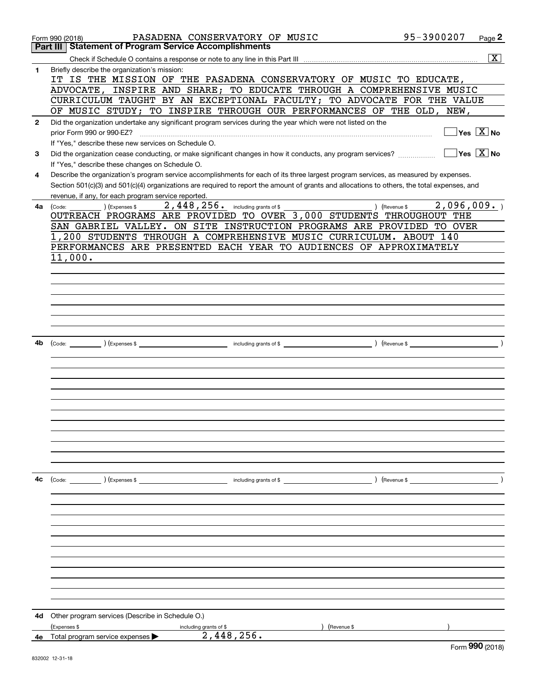|              | PASADENA CONSERVATORY OF MUSIC<br>Form 990 (2018)                                                                                            | 95-3900207                    | Page 2                   |
|--------------|----------------------------------------------------------------------------------------------------------------------------------------------|-------------------------------|--------------------------|
|              | <b>Statement of Program Service Accomplishments</b><br>Part III                                                                              |                               |                          |
|              |                                                                                                                                              |                               | $\overline{\mathbf{x}}$  |
| 1            | Briefly describe the organization's mission:                                                                                                 |                               |                          |
|              | IT IS THE MISSION OF THE PASADENA CONSERVATORY OF MUSIC TO EDUCATE,<br>ADVOCATE, INSPIRE AND SHARE; TO EDUCATE THROUGH A COMPREHENSIVE MUSIC |                               |                          |
|              | CURRICULUM TAUGHT BY AN EXCEPTIONAL FACULTY; TO ADVOCATE FOR THE VALUE                                                                       |                               |                          |
|              | OF MUSIC STUDY; TO INSPIRE THROUGH OUR PERFORMANCES OF THE OLD, NEW,                                                                         |                               |                          |
| $\mathbf{2}$ | Did the organization undertake any significant program services during the year which were not listed on the                                 |                               |                          |
|              | prior Form 990 or 990-EZ?                                                                                                                    |                               | Yes $X$ No               |
|              | If "Yes," describe these new services on Schedule O.                                                                                         |                               |                          |
| 3            | Did the organization cease conducting, or make significant changes in how it conducts, any program services?                                 |                               | $Yes \ \boxed{X}$ No     |
|              | If "Yes," describe these changes on Schedule O.                                                                                              |                               |                          |
| 4            | Describe the organization's program service accomplishments for each of its three largest program services, as measured by expenses.         |                               |                          |
|              | Section 501(c)(3) and 501(c)(4) organizations are required to report the amount of grants and allocations to others, the total expenses, and |                               |                          |
|              | revenue, if any, for each program service reported.                                                                                          |                               |                          |
| 4a           | 2,448,256. including grants of \$<br>(Expenses \$<br>(Code:                                                                                  | ) (Revenue \$                 | 2,096,009.               |
|              | OUTREACH PROGRAMS ARE PROVIDED TO OVER 3,000 STUDENTS THROUGHOUT THE                                                                         |                               |                          |
|              | SAN GABRIEL VALLEY. ON SITE INSTRUCTION PROGRAMS ARE PROVIDED TO OVER                                                                        |                               |                          |
|              | 1,200 STUDENTS THROUGH A COMPREHENSIVE MUSIC CURRICULUM. ABOUT 140                                                                           |                               |                          |
|              | PERFORMANCES ARE PRESENTED EACH YEAR TO AUDIENCES OF APPROXIMATELY                                                                           |                               |                          |
|              | 11,000.                                                                                                                                      |                               |                          |
|              |                                                                                                                                              |                               |                          |
|              |                                                                                                                                              |                               |                          |
|              |                                                                                                                                              |                               |                          |
|              |                                                                                                                                              |                               |                          |
|              |                                                                                                                                              |                               |                          |
|              |                                                                                                                                              |                               |                          |
| 4b           | $\left(\text{Code:}\right)$ $\left(\text{Expenses $}\right)$                                                                                 |                               | $\overline{\phantom{a}}$ |
|              |                                                                                                                                              |                               |                          |
|              |                                                                                                                                              |                               |                          |
|              |                                                                                                                                              |                               |                          |
|              |                                                                                                                                              |                               |                          |
|              |                                                                                                                                              |                               |                          |
|              |                                                                                                                                              |                               |                          |
|              |                                                                                                                                              |                               |                          |
|              |                                                                                                                                              |                               |                          |
|              |                                                                                                                                              |                               |                          |
|              |                                                                                                                                              |                               |                          |
|              |                                                                                                                                              |                               |                          |
|              |                                                                                                                                              |                               |                          |
| 4c           | (Code: ) (Expenses \$<br>including grants of \$                                                                                              | $\left($ Revenue \$ $\right)$ |                          |
|              |                                                                                                                                              |                               |                          |
|              |                                                                                                                                              |                               |                          |
|              |                                                                                                                                              |                               |                          |
|              |                                                                                                                                              |                               |                          |
|              |                                                                                                                                              |                               |                          |
|              |                                                                                                                                              |                               |                          |
|              |                                                                                                                                              |                               |                          |
|              |                                                                                                                                              |                               |                          |
|              |                                                                                                                                              |                               |                          |
|              |                                                                                                                                              |                               |                          |
|              |                                                                                                                                              |                               |                          |
| 4d           | Other program services (Describe in Schedule O.)                                                                                             |                               |                          |
|              | (Expenses \$<br>(Revenue \$<br>including grants of \$                                                                                        |                               |                          |
| 4е           | 2,448,256.<br>Total program service expenses                                                                                                 |                               |                          |
|              |                                                                                                                                              |                               | Form 990 (2018)          |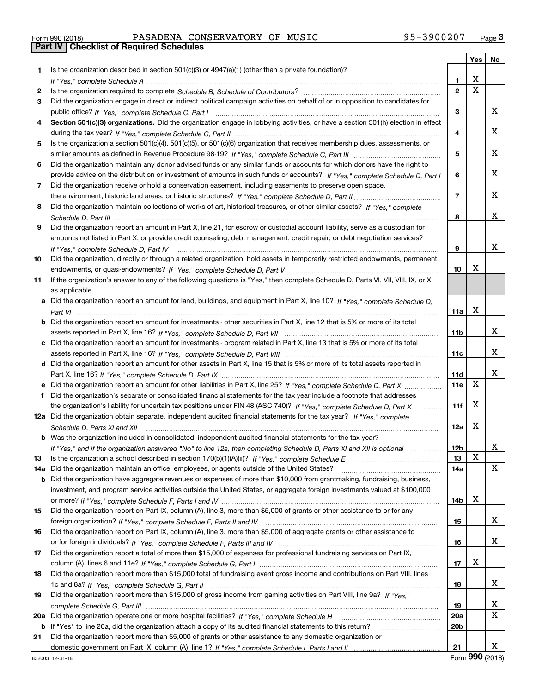|  | Form 990 (2018) |
|--|-----------------|

# Form 990 (2018) PASADENA CONSERVATORY OF MUSIC 95-3900207 <sub>Page</sub> 3<br>**Part IV | Checklist of Required Schedules**

|     |                                                                                                                                                    |                 | Yes | No |
|-----|----------------------------------------------------------------------------------------------------------------------------------------------------|-----------------|-----|----|
| 1.  | Is the organization described in section $501(c)(3)$ or $4947(a)(1)$ (other than a private foundation)?                                            |                 |     |    |
|     |                                                                                                                                                    | 1               | x   |    |
| 2   |                                                                                                                                                    | $\overline{2}$  | X   |    |
| 3   | Did the organization engage in direct or indirect political campaign activities on behalf of or in opposition to candidates for                    |                 |     |    |
|     |                                                                                                                                                    | 3               |     | x  |
| 4   | Section 501(c)(3) organizations. Did the organization engage in lobbying activities, or have a section 501(h) election in effect                   |                 |     |    |
|     |                                                                                                                                                    | 4               |     | x  |
| 5   | Is the organization a section 501(c)(4), 501(c)(5), or 501(c)(6) organization that receives membership dues, assessments, or                       |                 |     |    |
|     |                                                                                                                                                    | 5               |     | x  |
| 6   | Did the organization maintain any donor advised funds or any similar funds or accounts for which donors have the right to                          |                 |     |    |
|     | provide advice on the distribution or investment of amounts in such funds or accounts? If "Yes," complete Schedule D, Part I                       | 6               |     | x  |
| 7   | Did the organization receive or hold a conservation easement, including easements to preserve open space,                                          |                 |     |    |
|     |                                                                                                                                                    | $\overline{7}$  |     | x  |
| 8   | Did the organization maintain collections of works of art, historical treasures, or other similar assets? If "Yes," complete                       |                 |     |    |
|     |                                                                                                                                                    | 8               |     | x  |
| 9   | Did the organization report an amount in Part X, line 21, for escrow or custodial account liability, serve as a custodian for                      |                 |     |    |
|     | amounts not listed in Part X; or provide credit counseling, debt management, credit repair, or debt negotiation services?                          |                 |     | x  |
|     |                                                                                                                                                    | 9               |     |    |
| 10  | Did the organization, directly or through a related organization, hold assets in temporarily restricted endowments, permanent                      |                 | х   |    |
|     |                                                                                                                                                    | 10              |     |    |
| 11  | If the organization's answer to any of the following questions is "Yes," then complete Schedule D, Parts VI, VII, VIII, IX, or X<br>as applicable. |                 |     |    |
|     | Did the organization report an amount for land, buildings, and equipment in Part X, line 10? If "Yes," complete Schedule D,                        |                 |     |    |
| a   |                                                                                                                                                    | 11a             | х   |    |
|     | Did the organization report an amount for investments - other securities in Part X, line 12 that is 5% or more of its total                        |                 |     |    |
|     |                                                                                                                                                    | 11 <sub>b</sub> |     | x  |
| c   | Did the organization report an amount for investments - program related in Part X, line 13 that is 5% or more of its total                         |                 |     |    |
|     |                                                                                                                                                    | 11c             |     | x  |
|     | d Did the organization report an amount for other assets in Part X, line 15 that is 5% or more of its total assets reported in                     |                 |     |    |
|     |                                                                                                                                                    | 11d             |     | x  |
|     |                                                                                                                                                    | 11e             | x   |    |
| f   | Did the organization's separate or consolidated financial statements for the tax year include a footnote that addresses                            |                 |     |    |
|     | the organization's liability for uncertain tax positions under FIN 48 (ASC 740)? If "Yes," complete Schedule D, Part X                             | 11f             | x   |    |
| 12a | Did the organization obtain separate, independent audited financial statements for the tax year? If "Yes," complete                                |                 |     |    |
|     | Schedule D, Parts XI and XII                                                                                                                       | 12a             | х   |    |
|     | <b>b</b> Was the organization included in consolidated, independent audited financial statements for the tax year?                                 |                 |     |    |
|     | If "Yes," and if the organization answered "No" to line 12a, then completing Schedule D, Parts XI and XII is optional                              | 12 <sub>b</sub> |     |    |
| 13  | Is the organization a school described in section $170(b)(1)(A)(ii)?$ If "Yes," complete Schedule E                                                | 13              | х   |    |
| 14a | Did the organization maintain an office, employees, or agents outside of the United States?                                                        | 14a             |     | X. |
| b   | Did the organization have aggregate revenues or expenses of more than \$10,000 from grantmaking, fundraising, business,                            |                 |     |    |
|     | investment, and program service activities outside the United States, or aggregate foreign investments valued at \$100,000                         |                 |     |    |
|     |                                                                                                                                                    | 14b             | х   |    |
| 15  | Did the organization report on Part IX, column (A), line 3, more than \$5,000 of grants or other assistance to or for any                          |                 |     |    |
|     |                                                                                                                                                    | 15              |     | x  |
| 16  | Did the organization report on Part IX, column (A), line 3, more than \$5,000 of aggregate grants or other assistance to                           |                 |     |    |
|     |                                                                                                                                                    | 16              |     | x  |
| 17  | Did the organization report a total of more than \$15,000 of expenses for professional fundraising services on Part IX,                            |                 |     |    |
|     |                                                                                                                                                    | 17              | х   |    |
| 18  | Did the organization report more than \$15,000 total of fundraising event gross income and contributions on Part VIII, lines                       |                 |     |    |
|     |                                                                                                                                                    | 18              |     | x  |
| 19  | Did the organization report more than \$15,000 of gross income from gaming activities on Part VIII, line 9a? If "Yes."                             |                 |     |    |
|     |                                                                                                                                                    | 19              |     | x  |
| 20a | Did the organization operate one or more hospital facilities? If "Yes," complete Schedule H                                                        | <b>20a</b>      |     | X  |
| b   | If "Yes" to line 20a, did the organization attach a copy of its audited financial statements to this return?                                       | 20 <sub>b</sub> |     |    |
| 21  | Did the organization report more than \$5,000 of grants or other assistance to any domestic organization or                                        |                 |     | x  |
|     |                                                                                                                                                    | 21              |     |    |

Form (2018) **990**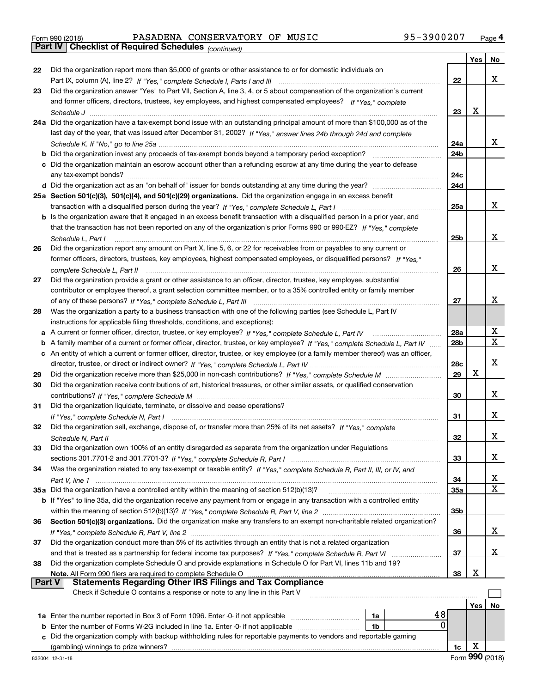|  | Form 990 (2018) |  |
|--|-----------------|--|
|  |                 |  |

Form 990 (2018) PASADENA CONSERVATORY OF MUSIC 95-3900207 <sub>Page</sub> 4<br>**Part IV | Checklist of Required Schedules** <sub>(continued)</sub>

*(continued)*

|               |                                                                                                                                 |                 | Yes | No     |
|---------------|---------------------------------------------------------------------------------------------------------------------------------|-----------------|-----|--------|
| 22            | Did the organization report more than \$5,000 of grants or other assistance to or for domestic individuals on                   |                 |     |        |
|               |                                                                                                                                 | 22              |     | x      |
| 23            | Did the organization answer "Yes" to Part VII, Section A, line 3, 4, or 5 about compensation of the organization's current      |                 |     |        |
|               | and former officers, directors, trustees, key employees, and highest compensated employees? If "Yes," complete                  |                 |     |        |
|               |                                                                                                                                 | 23              | X   |        |
|               | 24a Did the organization have a tax-exempt bond issue with an outstanding principal amount of more than \$100,000 as of the     |                 |     |        |
|               | last day of the year, that was issued after December 31, 2002? If "Yes," answer lines 24b through 24d and complete              |                 |     |        |
|               |                                                                                                                                 | 24a             |     | x      |
|               | <b>b</b> Did the organization invest any proceeds of tax-exempt bonds beyond a temporary period exception?                      | 24b             |     |        |
|               | c Did the organization maintain an escrow account other than a refunding escrow at any time during the year to defease          |                 |     |        |
|               | any tax-exempt bonds?                                                                                                           | 24c             |     |        |
|               |                                                                                                                                 | 24d             |     |        |
|               | 25a Section 501(c)(3), 501(c)(4), and 501(c)(29) organizations. Did the organization engage in an excess benefit                |                 |     |        |
|               |                                                                                                                                 | 25a             |     | x      |
|               | b Is the organization aware that it engaged in an excess benefit transaction with a disqualified person in a prior year, and    |                 |     |        |
|               | that the transaction has not been reported on any of the organization's prior Forms 990 or 990-EZ? If "Yes," complete           |                 |     |        |
|               | Schedule L, Part I                                                                                                              | 25b             |     | x      |
| 26            | Did the organization report any amount on Part X, line 5, 6, or 22 for receivables from or payables to any current or           |                 |     |        |
|               | former officers, directors, trustees, key employees, highest compensated employees, or disqualified persons? If "Yes."          |                 |     |        |
|               | complete Schedule L. Part II                                                                                                    | 26              |     | x      |
| 27            | Did the organization provide a grant or other assistance to an officer, director, trustee, key employee, substantial            |                 |     |        |
|               | contributor or employee thereof, a grant selection committee member, or to a 35% controlled entity or family member             |                 |     |        |
|               |                                                                                                                                 | 27              |     | x      |
| 28            | Was the organization a party to a business transaction with one of the following parties (see Schedule L, Part IV               |                 |     |        |
|               | instructions for applicable filing thresholds, conditions, and exceptions):                                                     |                 |     |        |
| а             |                                                                                                                                 | 28a             |     | х      |
| b             | A family member of a current or former officer, director, trustee, or key employee? If "Yes," complete Schedule L, Part IV      | 28 <sub>b</sub> |     | X      |
| с             | An entity of which a current or former officer, director, trustee, or key employee (or a family member thereof) was an officer, |                 |     |        |
|               |                                                                                                                                 | 28c             |     | x      |
| 29            |                                                                                                                                 | 29              | X   |        |
| 30            | Did the organization receive contributions of art, historical treasures, or other similar assets, or qualified conservation     |                 |     |        |
|               |                                                                                                                                 | 30              |     | x      |
| 31            | Did the organization liquidate, terminate, or dissolve and cease operations?                                                    |                 |     |        |
|               |                                                                                                                                 | 31              |     | x      |
| 32            | Did the organization sell, exchange, dispose of, or transfer more than 25% of its net assets? If "Yes," complete                |                 |     |        |
|               |                                                                                                                                 | 32              |     | x      |
| 33            | Did the organization own 100% of an entity disregarded as separate from the organization under Regulations                      |                 |     |        |
|               | sections 301.7701-2 and 301.7701-3? If "Yes," complete Schedule R, Part I                                                       | 33              |     | x      |
| 34            | Was the organization related to any tax-exempt or taxable entity? If "Yes," complete Schedule R, Part II, III, or IV, and       |                 |     |        |
|               | Part V, line 1                                                                                                                  | 34              |     | х<br>X |
|               | 35a Did the organization have a controlled entity within the meaning of section 512(b)(13)?                                     | 35a             |     |        |
|               | b If "Yes" to line 35a, did the organization receive any payment from or engage in any transaction with a controlled entity     |                 |     |        |
|               |                                                                                                                                 | 35b             |     |        |
| 36            | Section 501(c)(3) organizations. Did the organization make any transfers to an exempt non-charitable related organization?      |                 |     | x      |
|               |                                                                                                                                 | 36              |     |        |
| 37            | Did the organization conduct more than 5% of its activities through an entity that is not a related organization                |                 |     | x      |
|               |                                                                                                                                 | 37              |     |        |
| 38            | Did the organization complete Schedule O and provide explanations in Schedule O for Part VI, lines 11b and 19?                  | 38              | X   |        |
| <b>Part V</b> | <b>Statements Regarding Other IRS Filings and Tax Compliance</b>                                                                |                 |     |        |
|               | Check if Schedule O contains a response or note to any line in this Part V                                                      |                 |     |        |
|               |                                                                                                                                 |                 | Yes | No     |
|               | 48<br>1a                                                                                                                        |                 |     |        |
| b             | $\Omega$<br>Enter the number of Forms W-2G included in line 1a. Enter -0- if not applicable<br>1b                               |                 |     |        |
| C             | Did the organization comply with backup withholding rules for reportable payments to vendors and reportable gaming              |                 |     |        |
|               |                                                                                                                                 | 1c              | X   |        |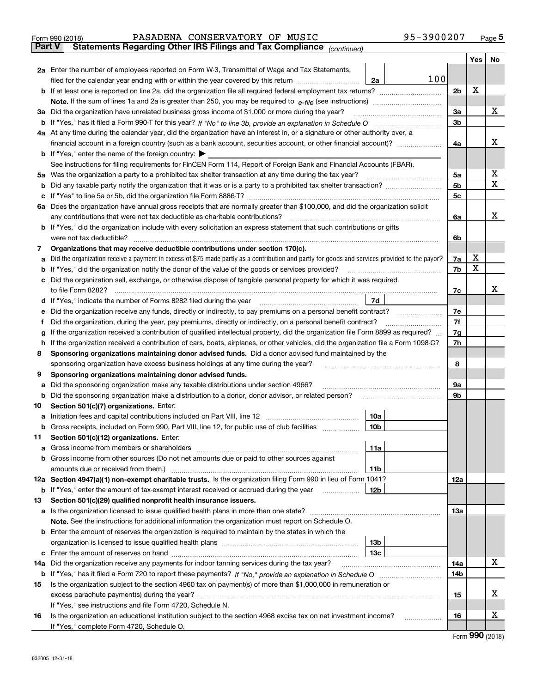|               | PASADENA CONSERVATORY OF MUSIC<br>Form 990 (2018)                                                                                                      | 95-3900207 |                |            | Page $5$     |
|---------------|--------------------------------------------------------------------------------------------------------------------------------------------------------|------------|----------------|------------|--------------|
| <b>Part V</b> | Statements Regarding Other IRS Filings and Tax Compliance (continued)                                                                                  |            |                |            |              |
|               |                                                                                                                                                        |            |                | <b>Yes</b> | <b>No</b>    |
|               | 2a Enter the number of employees reported on Form W-3, Transmittal of Wage and Tax Statements,                                                         |            |                |            |              |
|               | filed for the calendar year ending with or within the year covered by this return<br>2a                                                                | 100        |                |            |              |
|               |                                                                                                                                                        |            | 2 <sub>b</sub> | X          |              |
|               |                                                                                                                                                        |            |                |            |              |
|               | 3a Did the organization have unrelated business gross income of \$1,000 or more during the year?                                                       |            | 3a             |            | x            |
| b             |                                                                                                                                                        |            | 3 <sub>b</sub> |            |              |
|               | 4a At any time during the calendar year, did the organization have an interest in, or a signature or other authority over, a                           |            |                |            |              |
|               | financial account in a foreign country (such as a bank account, securities account, or other financial account)?                                       |            | 4a             |            | x            |
|               | <b>b</b> If "Yes," enter the name of the foreign country: $\blacktriangleright$                                                                        |            |                |            |              |
|               | See instructions for filing requirements for FinCEN Form 114, Report of Foreign Bank and Financial Accounts (FBAR).                                    |            |                |            |              |
|               |                                                                                                                                                        |            | 5a             |            | х            |
| b             | Did any taxable party notify the organization that it was or is a party to a prohibited tax shelter transaction?                                       |            | 5 <sub>b</sub> |            | $\mathbf{X}$ |
| c             |                                                                                                                                                        |            | 5c             |            |              |
|               | 6a Does the organization have annual gross receipts that are normally greater than \$100,000, and did the organization solicit                         |            |                |            |              |
|               | any contributions that were not tax deductible as charitable contributions?                                                                            |            | 6a             |            | x            |
|               | <b>b</b> If "Yes," did the organization include with every solicitation an express statement that such contributions or gifts                          |            |                |            |              |
|               | were not tax deductible?                                                                                                                               |            | 6b             |            |              |
| 7             | Organizations that may receive deductible contributions under section 170(c).                                                                          |            |                |            |              |
| a             | Did the organization receive a payment in excess of \$75 made partly as a contribution and partly for goods and services provided to the payor?        |            | 7a             | x          |              |
| b             | "Yes," did the organization notify the donor of the value of the goods or services provided?                                                           |            | 7b             | X          |              |
|               | c Did the organization sell, exchange, or otherwise dispose of tangible personal property for which it was required                                    |            |                |            |              |
|               | to file Form 8282?                                                                                                                                     |            | 7c             |            | х            |
| d             | If "Yes," indicate the number of Forms 8282 filed during the year [11,111] [11] The set result in the number of Forms 8282 filed during the year<br>7d |            |                |            |              |
| е             | Did the organization receive any funds, directly or indirectly, to pay premiums on a personal benefit contract?                                        |            | 7e             |            |              |
|               | Did the organization, during the year, pay premiums, directly or indirectly, on a personal benefit contract?                                           |            | 7f             |            |              |
| q             | If the organization received a contribution of qualified intellectual property, did the organization file Form 8899 as required?                       |            | 7g             |            |              |

| 9  | Sponsoring organizations maintaining donor advised funds.                                                                                         |                 |            |
|----|---------------------------------------------------------------------------------------------------------------------------------------------------|-----------------|------------|
| a  |                                                                                                                                                   |                 | 9а         |
| b  | Did the sponsoring organization make a distribution to a donor, donor advisor, or related person?<br><u> 1986 - John Bernstein, skriuwer en s</u> |                 | 9b         |
| 10 | Section 501(c)(7) organizations. Enter:                                                                                                           |                 |            |
| a  |                                                                                                                                                   | 10a             |            |
| b  | Gross receipts, included on Form 990, Part VIII, line 12, for public use of club facilities                                                       | 10 <sub>b</sub> |            |
| 11 | Section 501(c)(12) organizations. Enter:                                                                                                          |                 |            |
| a  |                                                                                                                                                   | 11a             |            |
| b  | Gross income from other sources (Do not net amounts due or paid to other sources against                                                          |                 |            |
|    |                                                                                                                                                   | 11 <sub>b</sub> |            |
|    | 12a Section 4947(a)(1) non-exempt charitable trusts. Is the organization filing Form 990 in lieu of Form 1041?                                    |                 | <b>12a</b> |
| b  | If "Yes," enter the amount of tax-exempt interest received or accrued during the year                                                             | 12 <sub>b</sub> |            |
| 13 | Section 501(c)(29) qualified nonprofit health insurance issuers.                                                                                  |                 |            |
| a  | Is the organization licensed to issue qualified health plans in more than one state?                                                              |                 | 13a        |
|    | <b>Note.</b> See the instructions for additional information the organization must report on Schedule O.                                          |                 |            |
|    | <b>b</b> Enter the amount of reserves the organization is required to maintain by the states in which the                                         |                 |            |
|    | organization is licensed to issue qualified health plans                                                                                          | 13 <sub>b</sub> |            |

**h** If the organization received a contribution of cars, boats, airplanes, or other vehicles, did the organization file a Form 1098-C?

sponsoring organization have excess business holdings at any time during the year? ~~~~~~~~~~~~~~~~~~~

**8 Sponsoring organizations maintaining donor advised funds.**  Did a donor advised fund maintained by the

|    | If "Yes," complete Form 4720, Schedule O.                                                                       |     |   |
|----|-----------------------------------------------------------------------------------------------------------------|-----|---|
| 16 | Is the organization an educational institution subject to the section 4968 excise tax on net investment income? | 16  | w |
|    | If "Yes," see instructions and file Form 4720, Schedule N.                                                      |     |   |
|    |                                                                                                                 | 15  | v |
| 15 | Is the organization subject to the section 4960 tax on payment(s) of more than \$1,000,000 in remuneration or   |     |   |
|    |                                                                                                                 | 14b |   |
|    | 14a Did the organization receive any payments for indoor tanning services during the tax year?                  | 14a |   |
|    | c Enter the amount of reserves on hand<br>13 <sub>c</sub>                                                       |     |   |
|    | organization to hoorlood to loodo qualifica ricaltir plane                                                      |     |   |

**7h**

**8**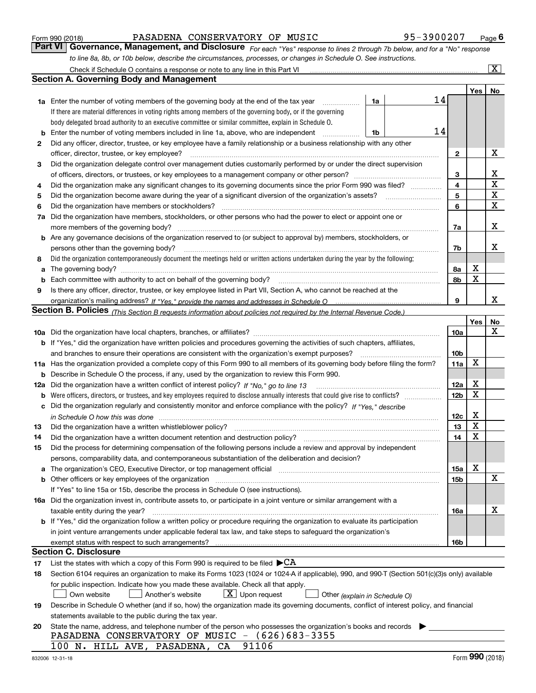| Form 990 (2018) |  |  |
|-----------------|--|--|
|                 |  |  |

## PASADENA CONSERVATORY OF MUSIC 95-3900207

*For each "Yes" response to lines 2 through 7b below, and for a "No" response to line 8a, 8b, or 10b below, describe the circumstances, processes, or changes in Schedule O. See instructions.* Form 990 (2018) PASADENA CONSERVATORY OF MUSIC<br>**Part VI** | Governance, Management, and Disclosure *For each "Yes" response to lines 2 through 7b below, and for a "No" response* 

|    | Check if Schedule O contains a response or note to any line in this Part VI                                                                                                                                                    |                         |     | $\overline{\text{X}}$ |
|----|--------------------------------------------------------------------------------------------------------------------------------------------------------------------------------------------------------------------------------|-------------------------|-----|-----------------------|
|    | Section A. Governing Body and Management                                                                                                                                                                                       |                         |     |                       |
|    |                                                                                                                                                                                                                                |                         | Yes | No                    |
|    | 14<br>1a<br><b>1a</b> Enter the number of voting members of the governing body at the end of the tax year                                                                                                                      |                         |     |                       |
|    | If there are material differences in voting rights among members of the governing body, or if the governing                                                                                                                    |                         |     |                       |
|    | body delegated broad authority to an executive committee or similar committee, explain in Schedule O.                                                                                                                          |                         |     |                       |
| b  | 14<br>Enter the number of voting members included in line 1a, above, who are independent<br>1b<br>.                                                                                                                            |                         |     |                       |
| 2  | Did any officer, director, trustee, or key employee have a family relationship or a business relationship with any other                                                                                                       |                         |     |                       |
|    | officer, director, trustee, or key employee?                                                                                                                                                                                   | 2                       |     | х                     |
| 3  | Did the organization delegate control over management duties customarily performed by or under the direct supervision                                                                                                          |                         |     |                       |
|    |                                                                                                                                                                                                                                | 3                       |     | х                     |
| 4  | Did the organization make any significant changes to its governing documents since the prior Form 990 was filed?                                                                                                               | $\overline{\mathbf{4}}$ |     | $\mathbf X$           |
| 5  |                                                                                                                                                                                                                                | 5                       |     | $\mathbf X$           |
| 6  | Did the organization have members or stockholders?                                                                                                                                                                             | 6                       |     | $\mathbf X$           |
| 7a | Did the organization have members, stockholders, or other persons who had the power to elect or appoint one or                                                                                                                 |                         |     |                       |
|    | more members of the governing body?                                                                                                                                                                                            | 7a                      |     | х                     |
|    | <b>b</b> Are any governance decisions of the organization reserved to (or subject to approval by) members, stockholders, or                                                                                                    |                         |     |                       |
|    | persons other than the governing body?                                                                                                                                                                                         | 7b                      |     | х                     |
| 8  | Did the organization contemporaneously document the meetings held or written actions undertaken during the year by the following:                                                                                              |                         |     |                       |
| a  | The governing body?                                                                                                                                                                                                            | 8а                      | х   |                       |
| b  | Each committee with authority to act on behalf of the governing body?                                                                                                                                                          | 8b                      | X   |                       |
| 9  | Is there any officer, director, trustee, or key employee listed in Part VII, Section A, who cannot be reached at the                                                                                                           |                         |     |                       |
|    |                                                                                                                                                                                                                                | 9                       |     | х                     |
|    | Section B. Policies <sub>(This Section B requests information about policies not required by the Internal Revenue Code.)</sub>                                                                                                 |                         |     |                       |
|    |                                                                                                                                                                                                                                |                         | Yes | No                    |
|    |                                                                                                                                                                                                                                | 10a                     |     | х                     |
|    | <b>b</b> If "Yes," did the organization have written policies and procedures governing the activities of such chapters, affiliates,                                                                                            |                         |     |                       |
|    | and branches to ensure their operations are consistent with the organization's exempt purposes?                                                                                                                                | 10 <sub>b</sub>         |     |                       |
|    | 11a Has the organization provided a complete copy of this Form 990 to all members of its governing body before filing the form?                                                                                                | 11a                     | X   |                       |
|    | <b>b</b> Describe in Schedule O the process, if any, used by the organization to review this Form 990.                                                                                                                         |                         |     |                       |
|    | 12a Did the organization have a written conflict of interest policy? If "No," go to line 13                                                                                                                                    | 12a                     | х   |                       |
|    |                                                                                                                                                                                                                                | 12 <sub>b</sub>         | Х   |                       |
|    | c Did the organization regularly and consistently monitor and enforce compliance with the policy? If "Yes," describe                                                                                                           |                         |     |                       |
|    | in Schedule O how this was done <i>manually contained account of the contained to how this was done</i>                                                                                                                        | 12c                     | х   |                       |
| 13 | Did the organization have a written whistleblower policy?                                                                                                                                                                      | 13                      | X   |                       |
| 14 | Did the organization have a written document retention and destruction policy?                                                                                                                                                 | 14                      | X   |                       |
| 15 | Did the process for determining compensation of the following persons include a review and approval by independent                                                                                                             |                         |     |                       |
|    | persons, comparability data, and contemporaneous substantiation of the deliberation and decision?                                                                                                                              |                         |     |                       |
|    | a The organization's CEO, Executive Director, or top management official manufactor content content content of                                                                                                                 | 15a                     | х   |                       |
|    | b Other officers or key employees of the organization manufactured content to the organization manufactured content of the organization manufactured content of the organization manufactured content of the organization manu | 15b                     |     | х                     |
|    | If "Yes" to line 15a or 15b, describe the process in Schedule O (see instructions).                                                                                                                                            |                         |     |                       |
|    | 16a Did the organization invest in, contribute assets to, or participate in a joint venture or similar arrangement with a                                                                                                      |                         |     |                       |
|    | taxable entity during the year?                                                                                                                                                                                                | 16a                     |     | х                     |
|    | b If "Yes," did the organization follow a written policy or procedure requiring the organization to evaluate its participation                                                                                                 |                         |     |                       |
|    | in joint venture arrangements under applicable federal tax law, and take steps to safeguard the organization's                                                                                                                 |                         |     |                       |
|    |                                                                                                                                                                                                                                | 16b                     |     |                       |
|    | <b>Section C. Disclosure</b>                                                                                                                                                                                                   |                         |     |                       |
| 17 | List the states with which a copy of this Form 990 is required to be filed $\blacktriangleright$ CA                                                                                                                            |                         |     |                       |
| 18 | Section 6104 requires an organization to make its Forms 1023 (1024 or 1024-A if applicable), 990, and 990-T (Section 501(c)(3)s only) available                                                                                |                         |     |                       |
|    | for public inspection. Indicate how you made these available. Check all that apply.                                                                                                                                            |                         |     |                       |
|    | $X$ Upon request<br>Another's website<br>Own website<br>Other (explain in Schedule O)                                                                                                                                          |                         |     |                       |
| 19 | Describe in Schedule O whether (and if so, how) the organization made its governing documents, conflict of interest policy, and financial                                                                                      |                         |     |                       |
|    | statements available to the public during the tax year.                                                                                                                                                                        |                         |     |                       |
| 20 | State the name, address, and telephone number of the person who possesses the organization's books and records                                                                                                                 |                         |     |                       |
|    | PASADENA CONSERVATORY OF MUSIC - (626)683-3355                                                                                                                                                                                 |                         |     |                       |
|    | 91106<br>100 N. HILL AVE, PASADENA, CA                                                                                                                                                                                         |                         |     |                       |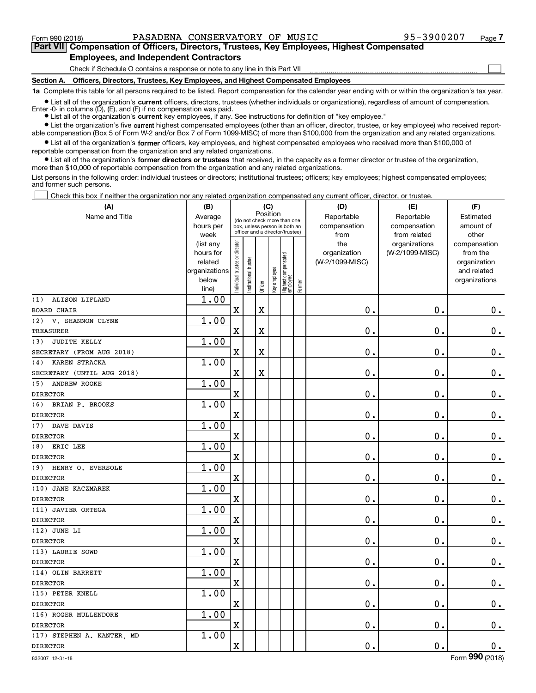$\mathcal{L}^{\text{max}}$ 

**7Part VII Compensation of Officers, Directors, Trustees, Key Employees, Highest Compensated Employees, and Independent Contractors**

Check if Schedule O contains a response or note to any line in this Part VII

**Section A. Officers, Directors, Trustees, Key Employees, and Highest Compensated Employees**

**1a**  Complete this table for all persons required to be listed. Report compensation for the calendar year ending with or within the organization's tax year.

**•** List all of the organization's current officers, directors, trustees (whether individuals or organizations), regardless of amount of compensation. Enter -0- in columns (D), (E), and (F) if no compensation was paid.

● List all of the organization's **current** key employees, if any. See instructions for definition of "key employee."

**•** List the organization's five current highest compensated employees (other than an officer, director, trustee, or key employee) who received reportable compensation (Box 5 of Form W-2 and/or Box 7 of Form 1099-MISC) of more than \$100,000 from the organization and any related organizations.

 $\bullet$  List all of the organization's **former** officers, key employees, and highest compensated employees who received more than \$100,000 of reportable compensation from the organization and any related organizations.

**•** List all of the organization's former directors or trustees that received, in the capacity as a former director or trustee of the organization, more than \$10,000 of reportable compensation from the organization and any related organizations.

List persons in the following order: individual trustees or directors; institutional trustees; officers; key employees; highest compensated employees; and former such persons.

Check this box if neither the organization nor any related organization compensated any current officer, director, or trustee.  $\mathcal{L}^{\text{max}}$ 

| (A)                        | (B)                                                                          |                               |                      | (C)                     |              |                                                                                                 |        | (D)                                            | (E)                                              | (F)                                                                               |
|----------------------------|------------------------------------------------------------------------------|-------------------------------|----------------------|-------------------------|--------------|-------------------------------------------------------------------------------------------------|--------|------------------------------------------------|--------------------------------------------------|-----------------------------------------------------------------------------------|
| Name and Title             | Average<br>hours per                                                         |                               |                      | Position                |              | (do not check more than one<br>box, unless person is both an<br>officer and a director/trustee) |        | Reportable<br>compensation                     | Reportable<br>compensation                       | Estimated<br>amount of                                                            |
|                            | week<br>(list any<br>hours for<br>related<br>organizations<br>below<br>line) | ndividual trustee or director | nstitutional trustee | Officer                 | Key employee | Highest compensated<br>  employee                                                               | Former | from<br>the<br>organization<br>(W-2/1099-MISC) | from related<br>organizations<br>(W-2/1099-MISC) | other<br>compensation<br>from the<br>organization<br>and related<br>organizations |
| ALISON LIFLAND<br>(1)      | 1.00                                                                         |                               |                      |                         |              |                                                                                                 |        |                                                |                                                  |                                                                                   |
| <b>BOARD CHAIR</b>         |                                                                              | $\mathbf X$                   |                      | $\overline{\textbf{X}}$ |              |                                                                                                 |        | 0.                                             | 0.                                               | $0_{.}$                                                                           |
| V. SHANNON CLYNE<br>(2)    | 1.00                                                                         |                               |                      |                         |              |                                                                                                 |        |                                                |                                                  |                                                                                   |
| <b>TREASURER</b>           |                                                                              | X                             |                      | $\overline{\textbf{X}}$ |              |                                                                                                 |        | $\mathbf 0$ .                                  | 0.                                               | $0_{.}$                                                                           |
| JUDITH KELLY<br>(3)        | 1.00                                                                         |                               |                      |                         |              |                                                                                                 |        |                                                |                                                  |                                                                                   |
| SECRETARY (FROM AUG 2018)  |                                                                              | $\mathbf x$                   |                      | $\overline{\textbf{X}}$ |              |                                                                                                 |        | $\mathbf 0$ .                                  | $\mathbf 0$ .                                    | $\mathbf 0$ .                                                                     |
| KAREN STRACKA<br>(4)       | 1.00                                                                         |                               |                      |                         |              |                                                                                                 |        |                                                |                                                  |                                                                                   |
| SECRETARY (UNTIL AUG 2018) |                                                                              | $\overline{\text{X}}$         |                      | $\overline{\textbf{X}}$ |              |                                                                                                 |        | 0.                                             | 0.                                               | $0_{.}$                                                                           |
| (5)<br>ANDREW ROOKE        | 1.00                                                                         |                               |                      |                         |              |                                                                                                 |        |                                                |                                                  |                                                                                   |
| <b>DIRECTOR</b>            |                                                                              | $\overline{\text{X}}$         |                      |                         |              |                                                                                                 |        | 0.                                             | 0.                                               | $0_{.}$                                                                           |
| (6)<br>BRIAN P. BROOKS     | 1.00                                                                         |                               |                      |                         |              |                                                                                                 |        |                                                |                                                  |                                                                                   |
| <b>DIRECTOR</b>            |                                                                              | $\overline{\text{X}}$         |                      |                         |              |                                                                                                 |        | 0.                                             | 0.                                               | $0_{.}$                                                                           |
| DAVE DAVIS<br>(7)          | 1.00                                                                         |                               |                      |                         |              |                                                                                                 |        |                                                |                                                  |                                                                                   |
| <b>DIRECTOR</b>            |                                                                              | $\rm X$                       |                      |                         |              |                                                                                                 |        | 0.                                             | 0.                                               | $0_{.}$                                                                           |
| ERIC LEE<br>(8)            | 1.00                                                                         |                               |                      |                         |              |                                                                                                 |        |                                                |                                                  |                                                                                   |
| <b>DIRECTOR</b>            |                                                                              | $\overline{\textbf{X}}$       |                      |                         |              |                                                                                                 |        | 0.                                             | $\mathbf 0$ .                                    | $\mathbf 0$ .                                                                     |
| HENRY O. EVERSOLE<br>(9)   | 1.00                                                                         |                               |                      |                         |              |                                                                                                 |        |                                                |                                                  |                                                                                   |
| <b>DIRECTOR</b>            |                                                                              | $\rm X$                       |                      |                         |              |                                                                                                 |        | 0.                                             | 0.                                               | $\mathbf 0$ .                                                                     |
| (10) JANE KACZMAREK        | 1.00                                                                         |                               |                      |                         |              |                                                                                                 |        |                                                |                                                  |                                                                                   |
| <b>DIRECTOR</b>            |                                                                              | $\overline{\textbf{X}}$       |                      |                         |              |                                                                                                 |        | 0.                                             | $\mathbf 0$ .                                    | $0_{.}$                                                                           |
| (11) JAVIER ORTEGA         | 1.00                                                                         |                               |                      |                         |              |                                                                                                 |        |                                                |                                                  |                                                                                   |
| <b>DIRECTOR</b>            |                                                                              | $\rm X$                       |                      |                         |              |                                                                                                 |        | 0.                                             | $\mathbf 0$ .                                    | $0_{.}$                                                                           |
| (12) JUNE LI               | 1.00                                                                         |                               |                      |                         |              |                                                                                                 |        |                                                |                                                  |                                                                                   |
| <b>DIRECTOR</b>            |                                                                              | $\mathbf x$                   |                      |                         |              |                                                                                                 |        | 0.                                             | $\mathbf 0$ .                                    | $\mathbf 0$ .                                                                     |
| (13) LAURIE SOWD           | 1.00                                                                         |                               |                      |                         |              |                                                                                                 |        |                                                |                                                  |                                                                                   |
| <b>DIRECTOR</b>            |                                                                              | $\mathbf X$                   |                      |                         |              |                                                                                                 |        | $0$ .                                          | $\mathbf 0$ .                                    | $\mathbf 0$ .                                                                     |
| (14) OLIN BARRETT          | 1.00                                                                         |                               |                      |                         |              |                                                                                                 |        |                                                |                                                  |                                                                                   |
| <b>DIRECTOR</b>            |                                                                              | X                             |                      |                         |              |                                                                                                 |        | 0.                                             | 0.                                               | $\mathbf 0$ .                                                                     |
| (15) PETER KNELL           | 1.00                                                                         |                               |                      |                         |              |                                                                                                 |        |                                                |                                                  |                                                                                   |
| <b>DIRECTOR</b>            |                                                                              | X                             |                      |                         |              |                                                                                                 |        | 0.                                             | 0.                                               | $0_{.}$                                                                           |
| (16) ROGER MULLENDORE      | 1.00                                                                         |                               |                      |                         |              |                                                                                                 |        |                                                |                                                  |                                                                                   |
| <b>DIRECTOR</b>            |                                                                              | $\overline{\textbf{X}}$       |                      |                         |              |                                                                                                 |        | 0.                                             | 0.                                               | 0.                                                                                |
| (17) STEPHEN A. KANTER, MD | 1.00                                                                         |                               |                      |                         |              |                                                                                                 |        |                                                |                                                  |                                                                                   |
| <b>DIRECTOR</b>            |                                                                              | $\rm X$                       |                      |                         |              |                                                                                                 |        | 0.                                             | $\mathbf 0$ .                                    | $\mathbf 0$ .                                                                     |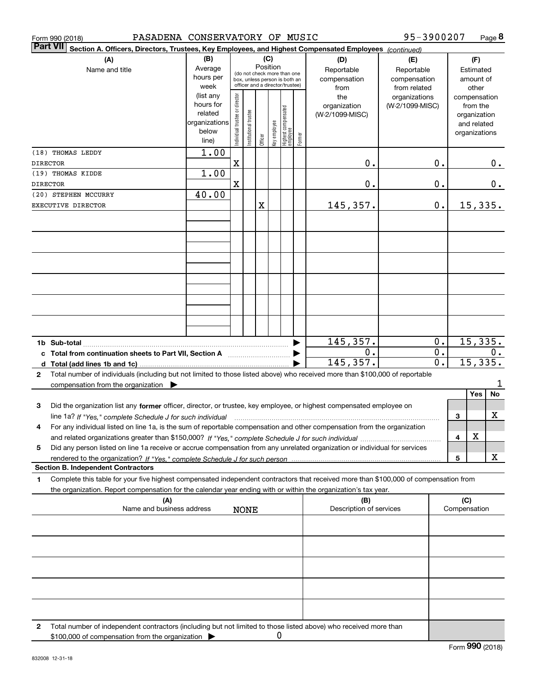|                 | PASADENA CONSERVATORY OF MUSIC<br>Form 990 (2018)                                                                                                                                                                                                                           |                                                                      |                                |                       |         |                 |                                                                                                 |        |                                           | 95-3900207                                        |                  |                     | Page 8                                                                   |
|-----------------|-----------------------------------------------------------------------------------------------------------------------------------------------------------------------------------------------------------------------------------------------------------------------------|----------------------------------------------------------------------|--------------------------------|-----------------------|---------|-----------------|-------------------------------------------------------------------------------------------------|--------|-------------------------------------------|---------------------------------------------------|------------------|---------------------|--------------------------------------------------------------------------|
| <b>Part VII</b> | Section A. Officers, Directors, Trustees, Key Employees, and Highest Compensated Employees (continued)                                                                                                                                                                      |                                                                      |                                |                       |         |                 |                                                                                                 |        |                                           |                                                   |                  |                     |                                                                          |
|                 | (A)<br>Name and title                                                                                                                                                                                                                                                       | (B)<br>Average<br>hours per<br>week                                  |                                |                       |         | (C)<br>Position | (do not check more than one<br>box, unless person is both an<br>officer and a director/trustee) |        | (D)<br>Reportable<br>compensation<br>from | (E)<br>Reportable<br>compensation<br>from related |                  |                     | (F)<br>Estimated<br>amount of<br>other                                   |
|                 |                                                                                                                                                                                                                                                                             | (list any<br>hours for<br>related<br>organizations<br>below<br>line) | Individual trustee or director | Institutional trustee | Officer | Key employee    | Highest compensated<br>employee                                                                 | Former | the<br>organization<br>(W-2/1099-MISC)    | organizations<br>(W-2/1099-MISC)                  |                  |                     | compensation<br>from the<br>organization<br>and related<br>organizations |
|                 | (18) THOMAS LEDDY                                                                                                                                                                                                                                                           | 1.00                                                                 |                                |                       |         |                 |                                                                                                 |        |                                           |                                                   |                  |                     |                                                                          |
| DIRECTOR        | (19) THOMAS KIDDE                                                                                                                                                                                                                                                           | 1.00                                                                 | X                              |                       |         |                 |                                                                                                 |        | 0.                                        |                                                   | 0.               |                     | 0.                                                                       |
| DIRECTOR        |                                                                                                                                                                                                                                                                             |                                                                      | $\mathbf X$                    |                       |         |                 |                                                                                                 |        | 0.                                        |                                                   | 0.               |                     | 0.                                                                       |
|                 | (20) STEPHEN MCCURRY                                                                                                                                                                                                                                                        | 40.00                                                                |                                |                       |         |                 |                                                                                                 |        |                                           |                                                   |                  |                     |                                                                          |
|                 | EXECUTIVE DIRECTOR                                                                                                                                                                                                                                                          |                                                                      |                                |                       | X       |                 |                                                                                                 |        | 145, 357.                                 |                                                   | 0.               |                     | 15,335.                                                                  |
|                 |                                                                                                                                                                                                                                                                             |                                                                      |                                |                       |         |                 |                                                                                                 |        |                                           |                                                   |                  |                     |                                                                          |
|                 |                                                                                                                                                                                                                                                                             |                                                                      |                                |                       |         |                 |                                                                                                 |        |                                           |                                                   |                  |                     |                                                                          |
|                 |                                                                                                                                                                                                                                                                             |                                                                      |                                |                       |         |                 |                                                                                                 |        |                                           |                                                   |                  |                     |                                                                          |
|                 |                                                                                                                                                                                                                                                                             |                                                                      |                                |                       |         |                 |                                                                                                 |        |                                           |                                                   |                  |                     |                                                                          |
|                 |                                                                                                                                                                                                                                                                             |                                                                      |                                |                       |         |                 |                                                                                                 |        |                                           |                                                   |                  |                     |                                                                          |
|                 |                                                                                                                                                                                                                                                                             |                                                                      |                                |                       |         |                 |                                                                                                 |        |                                           |                                                   |                  |                     |                                                                          |
|                 |                                                                                                                                                                                                                                                                             |                                                                      |                                |                       |         |                 |                                                                                                 |        |                                           |                                                   |                  |                     |                                                                          |
|                 |                                                                                                                                                                                                                                                                             |                                                                      |                                |                       |         |                 |                                                                                                 |        |                                           |                                                   |                  |                     |                                                                          |
|                 |                                                                                                                                                                                                                                                                             |                                                                      |                                |                       |         |                 |                                                                                                 |        |                                           |                                                   |                  |                     |                                                                          |
|                 |                                                                                                                                                                                                                                                                             |                                                                      |                                |                       |         |                 |                                                                                                 |        |                                           |                                                   |                  |                     |                                                                          |
|                 | c Total from continuation sheets to Part VII, Section A <b>Constanting the Continuum</b>                                                                                                                                                                                    |                                                                      |                                |                       |         |                 |                                                                                                 | ▶      | 145,357.<br>0.                            |                                                   | 0.<br>0.         |                     | 15,335.<br>0.                                                            |
|                 |                                                                                                                                                                                                                                                                             |                                                                      |                                |                       |         |                 |                                                                                                 |        | 145,357.                                  |                                                   | $\overline{0}$ . |                     | 15,335.                                                                  |
| $\mathbf{2}$    | Total number of individuals (including but not limited to those listed above) who received more than \$100,000 of reportable                                                                                                                                                |                                                                      |                                |                       |         |                 |                                                                                                 |        |                                           |                                                   |                  |                     |                                                                          |
|                 | compensation from the organization $\blacktriangleright$                                                                                                                                                                                                                    |                                                                      |                                |                       |         |                 |                                                                                                 |        |                                           |                                                   |                  |                     | 1                                                                        |
|                 |                                                                                                                                                                                                                                                                             |                                                                      |                                |                       |         |                 |                                                                                                 |        |                                           |                                                   |                  |                     | No<br>Yes                                                                |
| 3               | Did the organization list any former officer, director, or trustee, key employee, or highest compensated employee on                                                                                                                                                        |                                                                      |                                |                       |         |                 |                                                                                                 |        |                                           |                                                   |                  | 3                   | х                                                                        |
| 4               | line 1a? If "Yes," complete Schedule J for such individual manufactured contained and the 1a? If "Yes," complete Schedule J for such individual<br>For any individual listed on line 1a, is the sum of reportable compensation and other compensation from the organization |                                                                      |                                |                       |         |                 |                                                                                                 |        |                                           |                                                   |                  |                     |                                                                          |
|                 |                                                                                                                                                                                                                                                                             |                                                                      |                                |                       |         |                 |                                                                                                 |        |                                           |                                                   |                  | 4                   | х                                                                        |
| 5               | Did any person listed on line 1a receive or accrue compensation from any unrelated organization or individual for services                                                                                                                                                  |                                                                      |                                |                       |         |                 |                                                                                                 |        |                                           |                                                   |                  |                     |                                                                          |
|                 |                                                                                                                                                                                                                                                                             |                                                                      |                                |                       |         |                 |                                                                                                 |        |                                           |                                                   |                  | 5                   | x                                                                        |
| 1.              | <b>Section B. Independent Contractors</b><br>Complete this table for your five highest compensated independent contractors that received more than \$100,000 of compensation from                                                                                           |                                                                      |                                |                       |         |                 |                                                                                                 |        |                                           |                                                   |                  |                     |                                                                          |
|                 | the organization. Report compensation for the calendar year ending with or within the organization's tax year.                                                                                                                                                              |                                                                      |                                |                       |         |                 |                                                                                                 |        |                                           |                                                   |                  |                     |                                                                          |
|                 | (A)<br>Name and business address                                                                                                                                                                                                                                            |                                                                      |                                | <b>NONE</b>           |         |                 |                                                                                                 |        | (B)<br>Description of services            |                                                   |                  | (C)<br>Compensation |                                                                          |
|                 |                                                                                                                                                                                                                                                                             |                                                                      |                                |                       |         |                 |                                                                                                 |        |                                           |                                                   |                  |                     |                                                                          |
|                 |                                                                                                                                                                                                                                                                             |                                                                      |                                |                       |         |                 |                                                                                                 |        |                                           |                                                   |                  |                     |                                                                          |
|                 |                                                                                                                                                                                                                                                                             |                                                                      |                                |                       |         |                 |                                                                                                 |        |                                           |                                                   |                  |                     |                                                                          |
|                 |                                                                                                                                                                                                                                                                             |                                                                      |                                |                       |         |                 |                                                                                                 |        |                                           |                                                   |                  |                     |                                                                          |
|                 |                                                                                                                                                                                                                                                                             |                                                                      |                                |                       |         |                 |                                                                                                 |        |                                           |                                                   |                  |                     |                                                                          |
|                 |                                                                                                                                                                                                                                                                             |                                                                      |                                |                       |         |                 |                                                                                                 |        |                                           |                                                   |                  |                     |                                                                          |
|                 |                                                                                                                                                                                                                                                                             |                                                                      |                                |                       |         |                 |                                                                                                 |        |                                           |                                                   |                  |                     |                                                                          |
|                 |                                                                                                                                                                                                                                                                             |                                                                      |                                |                       |         |                 |                                                                                                 |        |                                           |                                                   |                  |                     |                                                                          |
| 2               | Total number of independent contractors (including but not limited to those listed above) who received more than                                                                                                                                                            |                                                                      |                                |                       |         |                 |                                                                                                 |        |                                           |                                                   |                  |                     |                                                                          |
|                 | \$100,000 of compensation from the organization                                                                                                                                                                                                                             |                                                                      |                                |                       |         | 0               |                                                                                                 |        |                                           |                                                   |                  |                     |                                                                          |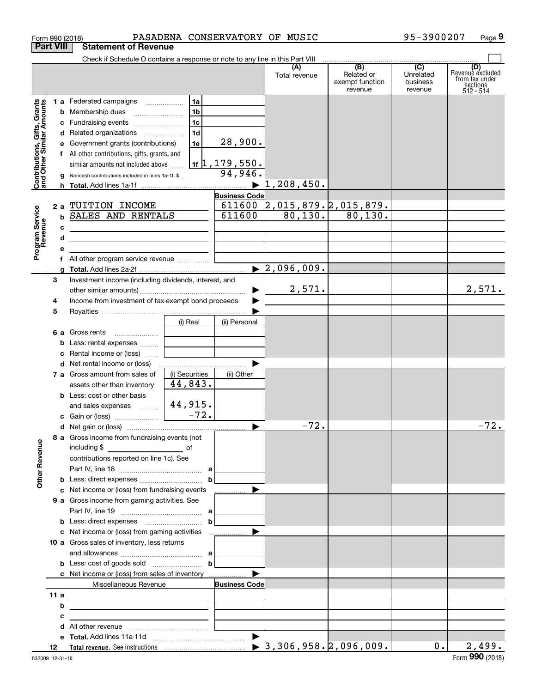|                                                           | <b>Part VIII</b> | <b>Statement of Revenue</b>                                                                   |                      |                                                            |                                  |                                                 |                                                    |                                                                    |
|-----------------------------------------------------------|------------------|-----------------------------------------------------------------------------------------------|----------------------|------------------------------------------------------------|----------------------------------|-------------------------------------------------|----------------------------------------------------|--------------------------------------------------------------------|
|                                                           |                  | Check if Schedule O contains a response or note to any line in this Part VIII                 |                      |                                                            |                                  |                                                 |                                                    |                                                                    |
|                                                           |                  |                                                                                               |                      |                                                            | (A)<br>Total revenue             | (B)<br>Related or<br>exempt function<br>revenue | $\overline{C}$<br>Unrelated<br>business<br>revenue | (D)<br>Revenue excluded<br>from tax under<br>sections<br>512 - 514 |
| Contributions, Gifts, Grants<br>and Other Similar Amounts |                  | 1 a Federated campaigns<br><b>b</b> Membership dues                                           | 1a<br>1 <sub>b</sub> |                                                            |                                  |                                                 |                                                    |                                                                    |
|                                                           |                  | c Fundraising events                                                                          | 1c                   |                                                            |                                  |                                                 |                                                    |                                                                    |
|                                                           |                  | d Related organizations                                                                       | 1 <sub>d</sub>       |                                                            |                                  |                                                 |                                                    |                                                                    |
|                                                           |                  | e Government grants (contributions)                                                           | 1e                   | 28,900.                                                    |                                  |                                                 |                                                    |                                                                    |
|                                                           |                  | f All other contributions, gifts, grants, and                                                 |                      |                                                            |                                  |                                                 |                                                    |                                                                    |
|                                                           |                  | similar amounts not included above<br>Noncash contributions included in lines 1a-1f: \$       |                      | <u>  1f <math>\uparrow</math> , 179 , 550 .</u><br>94,946. |                                  |                                                 |                                                    |                                                                    |
|                                                           |                  |                                                                                               |                      |                                                            | 1,208,450.                       |                                                 |                                                    |                                                                    |
|                                                           |                  |                                                                                               |                      | <b>Business Code</b>                                       |                                  |                                                 |                                                    |                                                                    |
|                                                           | 2 a              | TUITION INCOME                                                                                |                      | 611600                                                     |                                  | <u>2,015,879.2,015,879.</u>                     |                                                    |                                                                    |
|                                                           | b                | SALES AND RENTALS                                                                             |                      | 611600                                                     |                                  | $80,130.$ 80,130.                               |                                                    |                                                                    |
|                                                           | с                | the contract of the contract of the contract of the contract of the contract of               |                      |                                                            |                                  |                                                 |                                                    |                                                                    |
|                                                           | d                | <u> 1989 - Johann Barbara, martxa alemaniar a</u>                                             |                      |                                                            |                                  |                                                 |                                                    |                                                                    |
| Program Service<br>Revenue                                | е                |                                                                                               |                      |                                                            |                                  |                                                 |                                                    |                                                                    |
|                                                           |                  | f All other program service revenue                                                           |                      |                                                            |                                  |                                                 |                                                    |                                                                    |
|                                                           |                  |                                                                                               |                      |                                                            | $\blacktriangleright$ 2,096,009. |                                                 |                                                    |                                                                    |
|                                                           | З                | Investment income (including dividends, interest, and                                         |                      |                                                            |                                  |                                                 |                                                    |                                                                    |
|                                                           |                  |                                                                                               |                      |                                                            | 2,571.                           |                                                 |                                                    | 2,571.                                                             |
|                                                           | 4                | Income from investment of tax-exempt bond proceeds                                            |                      |                                                            |                                  |                                                 |                                                    |                                                                    |
|                                                           | 5                |                                                                                               |                      |                                                            |                                  |                                                 |                                                    |                                                                    |
|                                                           |                  | <b>6 a</b> Gross rents                                                                        | (i) Real             | (ii) Personal                                              |                                  |                                                 |                                                    |                                                                    |
|                                                           | b                | Less: rental expenses                                                                         |                      |                                                            |                                  |                                                 |                                                    |                                                                    |
|                                                           | c                | Rental income or (loss)                                                                       |                      |                                                            |                                  |                                                 |                                                    |                                                                    |
|                                                           |                  |                                                                                               |                      |                                                            |                                  |                                                 |                                                    |                                                                    |
|                                                           |                  | 7 a Gross amount from sales of                                                                | (i) Securities       | (ii) Other                                                 |                                  |                                                 |                                                    |                                                                    |
|                                                           |                  | assets other than inventory                                                                   | 44,843.              |                                                            |                                  |                                                 |                                                    |                                                                    |
|                                                           |                  | <b>b</b> Less: cost or other basis                                                            |                      |                                                            |                                  |                                                 |                                                    |                                                                    |
|                                                           |                  | and sales expenses $\frac{44,915}{-72}$ .                                                     |                      |                                                            |                                  |                                                 |                                                    |                                                                    |
|                                                           |                  |                                                                                               |                      |                                                            |                                  |                                                 |                                                    |                                                                    |
|                                                           |                  |                                                                                               |                      | $\blacktriangleright$                                      | $-72.$                           |                                                 |                                                    | $-72.$                                                             |
| <b>Other Revenue</b>                                      |                  | 8 a Gross income from fundraising events (not<br>including $$$<br>$\overline{\phantom{a}}$ of |                      |                                                            |                                  |                                                 |                                                    |                                                                    |
|                                                           |                  | contributions reported on line 1c). See                                                       |                      |                                                            |                                  |                                                 |                                                    |                                                                    |
|                                                           |                  |                                                                                               |                      |                                                            |                                  |                                                 |                                                    |                                                                    |
|                                                           |                  |                                                                                               | $\mathbf b$          |                                                            |                                  |                                                 |                                                    |                                                                    |
|                                                           |                  | c Net income or (loss) from fundraising events                                                |                      | <u> …………</u> … ▶                                           |                                  |                                                 |                                                    |                                                                    |
|                                                           |                  | 9 a Gross income from gaming activities. See                                                  |                      |                                                            |                                  |                                                 |                                                    |                                                                    |
|                                                           |                  |                                                                                               | $\mathbf b$          |                                                            |                                  |                                                 |                                                    |                                                                    |
|                                                           |                  |                                                                                               |                      |                                                            |                                  |                                                 |                                                    |                                                                    |
|                                                           |                  | 10 a Gross sales of inventory, less returns                                                   |                      |                                                            |                                  |                                                 |                                                    |                                                                    |
|                                                           |                  |                                                                                               |                      |                                                            |                                  |                                                 |                                                    |                                                                    |
|                                                           |                  |                                                                                               | $\mathbf b$          |                                                            |                                  |                                                 |                                                    |                                                                    |
|                                                           |                  |                                                                                               |                      |                                                            |                                  |                                                 |                                                    |                                                                    |
|                                                           |                  | Miscellaneous Revenue                                                                         |                      | <b>Business Code</b>                                       |                                  |                                                 |                                                    |                                                                    |
|                                                           | 11 a             | <u> 1989 - Johann Barn, fransk politik amerikansk politik (</u>                               |                      |                                                            |                                  |                                                 |                                                    |                                                                    |
|                                                           | b                | the control of the control of the control of the control of the control of the control of     |                      |                                                            |                                  |                                                 |                                                    |                                                                    |
|                                                           | с                | <u> 1989 - John Stein, Amerikaansk politiker (</u>                                            |                      |                                                            |                                  |                                                 |                                                    |                                                                    |
|                                                           | d                |                                                                                               |                      |                                                            |                                  |                                                 |                                                    |                                                                    |
|                                                           |                  |                                                                                               |                      |                                                            |                                  |                                                 |                                                    |                                                                    |
|                                                           | 12               |                                                                                               |                      |                                                            |                                  |                                                 | $0$ .                                              | 2,499.                                                             |

Form 990 (2018) PASADENA CONSERVATORY OF MUSIC 95-3900207 Page

**9**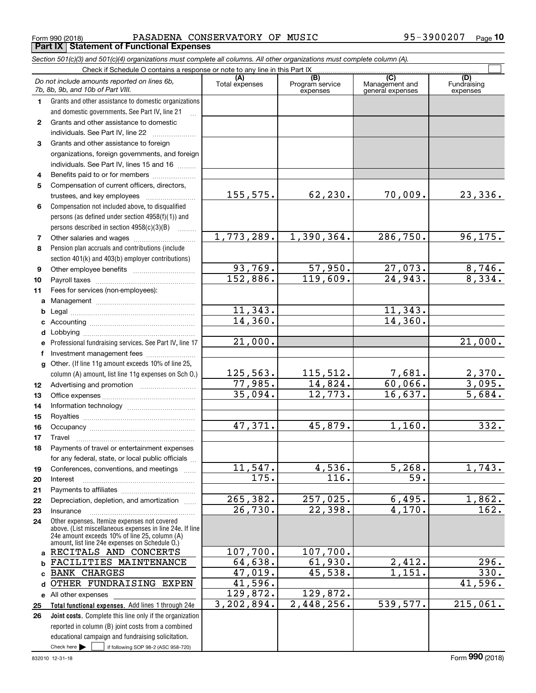Form 990 (2018) PASADENA CONSERVATORY OF MUSIC 95-3900207 <sub>Page</sub> **Part IX Statement of Functional Expenses**

|              | Section 501(c)(3) and 501(c)(4) organizations must complete all columns. All other organizations must complete column (A).                                                                                  |                       |                                    |                                           |                                |
|--------------|-------------------------------------------------------------------------------------------------------------------------------------------------------------------------------------------------------------|-----------------------|------------------------------------|-------------------------------------------|--------------------------------|
|              | Check if Schedule O contains a response or note to any line in this Part IX                                                                                                                                 |                       |                                    |                                           |                                |
|              | Do not include amounts reported on lines 6b,<br>7b, 8b, 9b, and 10b of Part VIII.                                                                                                                           | (A)<br>Total expenses | (B)<br>Program service<br>expenses | (C)<br>Management and<br>general expenses | (D)<br>Fundraising<br>expenses |
| 1.           | Grants and other assistance to domestic organizations                                                                                                                                                       |                       |                                    |                                           |                                |
|              | and domestic governments. See Part IV, line 21                                                                                                                                                              |                       |                                    |                                           |                                |
| $\mathbf{2}$ | Grants and other assistance to domestic                                                                                                                                                                     |                       |                                    |                                           |                                |
|              | individuals. See Part IV, line 22                                                                                                                                                                           |                       |                                    |                                           |                                |
| 3            | Grants and other assistance to foreign                                                                                                                                                                      |                       |                                    |                                           |                                |
|              | organizations, foreign governments, and foreign                                                                                                                                                             |                       |                                    |                                           |                                |
|              | individuals. See Part IV, lines 15 and 16                                                                                                                                                                   |                       |                                    |                                           |                                |
| 4            | Benefits paid to or for members                                                                                                                                                                             |                       |                                    |                                           |                                |
| 5            | Compensation of current officers, directors,                                                                                                                                                                |                       |                                    |                                           |                                |
|              | trustees, and key employees                                                                                                                                                                                 | 155, 575.             | 62,230.                            | 70,009.                                   | 23,336.                        |
| 6            | Compensation not included above, to disqualified                                                                                                                                                            |                       |                                    |                                           |                                |
|              | persons (as defined under section 4958(f)(1)) and                                                                                                                                                           |                       |                                    |                                           |                                |
|              | persons described in section 4958(c)(3)(B)<br>1.1.1.1.1.1.1                                                                                                                                                 |                       |                                    |                                           |                                |
| 7            |                                                                                                                                                                                                             | 1,773,289.            | 1,390,364.                         | 286,750.                                  | 96, 175.                       |
| 8            | Pension plan accruals and contributions (include                                                                                                                                                            |                       |                                    |                                           |                                |
|              | section 401(k) and 403(b) employer contributions)                                                                                                                                                           |                       |                                    |                                           |                                |
| 9            |                                                                                                                                                                                                             | 93,769.               | 57,950.                            | $\frac{27,073.}{24,943.}$                 | $\frac{8,746}{8,334}$ .        |
| 10           |                                                                                                                                                                                                             | 152,886.              | 119,609.                           |                                           |                                |
| 11           | Fees for services (non-employees):                                                                                                                                                                          |                       |                                    |                                           |                                |
| a            |                                                                                                                                                                                                             |                       |                                    |                                           |                                |
| b            |                                                                                                                                                                                                             | 11,343.               |                                    | 11, 343.                                  |                                |
| c            |                                                                                                                                                                                                             | 14,360.               |                                    | 14,360.                                   |                                |
| d            |                                                                                                                                                                                                             |                       |                                    |                                           |                                |
| е            | Professional fundraising services. See Part IV, line 17                                                                                                                                                     | 21,000.               |                                    |                                           | 21,000.                        |
| f            | Investment management fees                                                                                                                                                                                  |                       |                                    |                                           |                                |
| $\mathbf{q}$ | Other. (If line 11g amount exceeds 10% of line 25,                                                                                                                                                          |                       |                                    |                                           |                                |
|              | column (A) amount, list line 11g expenses on Sch O.)                                                                                                                                                        | 125, 563.             | 115,512.                           | $\frac{7,681.}{60,066.}$                  | <u>2,370.</u><br>3,095.        |
| 12           |                                                                                                                                                                                                             | 77,985.               | 14,824.                            |                                           |                                |
| 13           |                                                                                                                                                                                                             | 35,094.               | 12,773.                            | 16,637.                                   | 5,684.                         |
| 14           |                                                                                                                                                                                                             |                       |                                    |                                           |                                |
| 15           |                                                                                                                                                                                                             |                       |                                    |                                           |                                |
| 16           |                                                                                                                                                                                                             | 47,371.               | 45,879.                            | 1,160.                                    | 332.                           |
| 17           |                                                                                                                                                                                                             |                       |                                    |                                           |                                |
| 18           | Payments of travel or entertainment expenses                                                                                                                                                                |                       |                                    |                                           |                                |
|              | for any federal, state, or local public officials                                                                                                                                                           |                       |                                    |                                           |                                |
| 19           | Conferences, conventions, and meetings                                                                                                                                                                      | 11, 547.              | 4,536.                             | 5,268.                                    | 1,743.                         |
| 20           | Interest                                                                                                                                                                                                    | 175.                  | 116.                               | 59.                                       |                                |
| 21           |                                                                                                                                                                                                             |                       |                                    |                                           |                                |
| 22           | Depreciation, depletion, and amortization                                                                                                                                                                   | 265, 382.             | 257,025.                           | 6,495.                                    | 1,862.                         |
| 23           | Insurance                                                                                                                                                                                                   | $\overline{26,730}$ . | 22,398.                            | 4,170.                                    | $\overline{162.}$              |
| 24           | Other expenses. Itemize expenses not covered<br>above. (List miscellaneous expenses in line 24e. If line<br>24e amount exceeds 10% of line 25, column (A)<br>amount, list line 24e expenses on Schedule O.) |                       |                                    |                                           |                                |
|              | a RECITALS AND CONCERTS                                                                                                                                                                                     | 107,700.              | 107,700.                           |                                           |                                |
| b            | FACILITIES MAINTENANCE                                                                                                                                                                                      | 64,638.               | 61,930.                            | 2,412.                                    | 296.                           |
| c.           | <b>BANK CHARGES</b>                                                                                                                                                                                         | 47,019.               | 45,538.                            | 1,151.                                    | 330.                           |
| d            | OTHER FUNDRAISING EXPEN                                                                                                                                                                                     | 41,596.               |                                    |                                           | 41,596.                        |
|              | e All other expenses                                                                                                                                                                                        | 129,872.              | 129,872.                           |                                           |                                |
| 25           | Total functional expenses. Add lines 1 through 24e                                                                                                                                                          | 3, 202, 894.          | 2,448,256.                         | 539,577.                                  | 215,061.                       |
| 26           | Joint costs. Complete this line only if the organization                                                                                                                                                    |                       |                                    |                                           |                                |
|              | reported in column (B) joint costs from a combined                                                                                                                                                          |                       |                                    |                                           |                                |
|              | educational campaign and fundraising solicitation.                                                                                                                                                          |                       |                                    |                                           |                                |
|              | Check here $\blacktriangleright$<br>if following SOP 98-2 (ASC 958-720)                                                                                                                                     |                       |                                    |                                           |                                |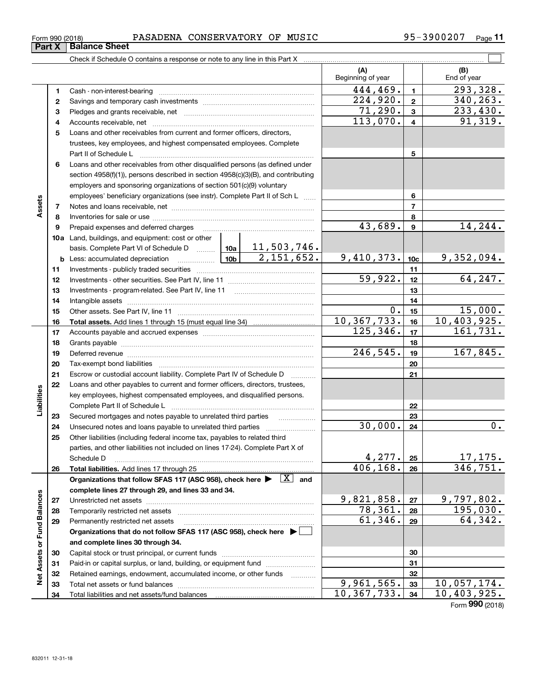| 3900207<br>$QF -$<br>MUSIC<br><b>PASADENA</b><br>CONSERVATORY<br>OF<br>Form 990 (2018) | Page |  |
|----------------------------------------------------------------------------------------|------|--|
|----------------------------------------------------------------------------------------|------|--|

|                             |    |                                                                                                                              | (A)<br>Beginning of year |                         | (B)<br>End of year          |
|-----------------------------|----|------------------------------------------------------------------------------------------------------------------------------|--------------------------|-------------------------|-----------------------------|
|                             | 1  |                                                                                                                              | 444,469.                 | $\mathbf{1}$            | 293,328.                    |
|                             | 2  |                                                                                                                              | $\overline{224,920}$ .   | $\mathbf{2}$            | 340, 263.                   |
|                             | 3  |                                                                                                                              | 71,290.                  | $\mathbf{3}$            | 233,430.                    |
|                             | 4  |                                                                                                                              | 113,070.                 | $\overline{\mathbf{4}}$ | 91,319.                     |
|                             | 5  | Loans and other receivables from current and former officers, directors,                                                     |                          |                         |                             |
|                             |    | trustees, key employees, and highest compensated employees. Complete                                                         |                          |                         |                             |
|                             |    |                                                                                                                              |                          | 5                       |                             |
|                             | 6  | Loans and other receivables from other disqualified persons (as defined under                                                |                          |                         |                             |
|                             |    | section 4958(f)(1)), persons described in section 4958(c)(3)(B), and contributing                                            |                          |                         |                             |
|                             |    | employers and sponsoring organizations of section 501(c)(9) voluntary                                                        |                          |                         |                             |
|                             |    | employees' beneficiary organizations (see instr). Complete Part II of Sch L                                                  |                          | 6                       |                             |
| Assets                      | 7  |                                                                                                                              |                          | $\overline{7}$          |                             |
|                             | 8  |                                                                                                                              |                          | 8                       |                             |
|                             | 9  |                                                                                                                              | 43,689.                  | $\boldsymbol{9}$        | 14, 244.                    |
|                             |    | 10a Land, buildings, and equipment: cost or other                                                                            |                          |                         |                             |
|                             |    | basis. Complete Part VI of Schedule D    10a   11, 503, 746.                                                                 |                          |                         |                             |
|                             |    | $\overline{2,151,652.}$                                                                                                      | 9,410,373.               | 10 <sub>c</sub>         | 9,352,094.                  |
|                             | 11 |                                                                                                                              |                          | 11                      |                             |
|                             | 12 |                                                                                                                              | 59,922.                  | 12                      | 64, 247.                    |
|                             | 13 |                                                                                                                              |                          | 13                      |                             |
|                             | 14 |                                                                                                                              |                          | 14                      |                             |
|                             | 15 |                                                                                                                              | 0.                       | 15                      | 15,000.                     |
|                             | 16 |                                                                                                                              | 10, 367, 733.            | 16                      | 10,403,925.                 |
|                             | 17 |                                                                                                                              | 125, 346.                | 17                      | 161,731.                    |
|                             | 18 |                                                                                                                              |                          | 18                      |                             |
|                             | 19 | Deferred revenue information and contract the contract of the contract of the contract of the contract of the                | 246,545.                 | 19                      | 167,845.                    |
|                             | 20 |                                                                                                                              |                          | 20                      |                             |
|                             | 21 | Escrow or custodial account liability. Complete Part IV of Schedule D                                                        |                          | 21                      |                             |
|                             | 22 | Loans and other payables to current and former officers, directors, trustees,                                                |                          |                         |                             |
| Liabilities                 |    | key employees, highest compensated employees, and disqualified persons.                                                      |                          |                         |                             |
|                             |    |                                                                                                                              |                          | 22                      |                             |
|                             | 23 | Secured mortgages and notes payable to unrelated third parties                                                               |                          | 23                      |                             |
|                             | 24 |                                                                                                                              | 30,000.                  | 24                      | $\overline{0}$ .            |
|                             | 25 | Other liabilities (including federal income tax, payables to related third                                                   |                          |                         |                             |
|                             |    | parties, and other liabilities not included on lines 17-24). Complete Part X of                                              |                          |                         |                             |
|                             |    | Schedule D                                                                                                                   | 4,277.<br>406,168.       | 25                      | 17, 175.<br>346, 751.       |
|                             | 26 | Organizations that follow SFAS 117 (ASC 958), check here $\blacktriangleright \begin{array}{c} \boxed{X} \\ \end{array}$ and |                          | 26                      |                             |
|                             |    | complete lines 27 through 29, and lines 33 and 34.                                                                           |                          |                         |                             |
|                             | 27 |                                                                                                                              | 9,821,858.               | 27                      | 9,797,802.                  |
|                             | 28 |                                                                                                                              | 78,361.                  | 28                      | 195,030.                    |
|                             | 29 | Permanently restricted net assets                                                                                            | 61,346.                  | 29                      | 64,342.                     |
|                             |    | Organizations that do not follow SFAS 117 (ASC 958), check here ▶ □                                                          |                          |                         |                             |
| Net Assets or Fund Balances |    | and complete lines 30 through 34.                                                                                            |                          |                         |                             |
|                             | 30 |                                                                                                                              |                          | 30                      |                             |
|                             | 31 | Paid-in or capital surplus, or land, building, or equipment fund                                                             |                          | 31                      |                             |
|                             | 32 | Retained earnings, endowment, accumulated income, or other funds                                                             |                          | 32                      |                             |
|                             | 33 |                                                                                                                              | 9,961,565.               | 33                      | $\overline{10}$ , 057, 174. |
|                             | 34 |                                                                                                                              | 10, 367, 733.            | 34                      | 10,403,925.                 |

Form (2018) **990**

## **Part X Balance Sheet**

| Form 990 (2018 |  |  |
|----------------|--|--|
|                |  |  |

 $\overline{\phantom{0}}$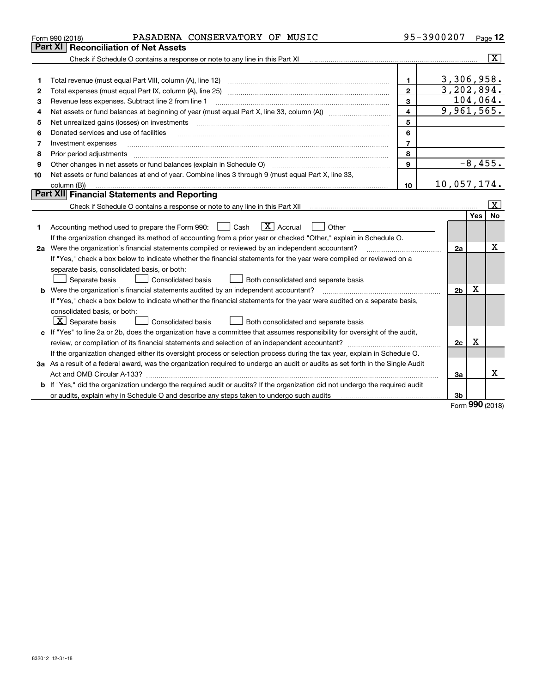|    | PASADENA CONSERVATORY OF MUSIC<br>Form 990 (2018)                                                                               |                | 95-3900207     |             | Page 12                                         |
|----|---------------------------------------------------------------------------------------------------------------------------------|----------------|----------------|-------------|-------------------------------------------------|
|    | Part XI<br><b>Reconciliation of Net Assets</b>                                                                                  |                |                |             |                                                 |
|    | Check if Schedule O contains a response or note to any line in this Part XI                                                     |                |                |             | $\overline{\mathbf{x}}$ $\overline{\mathbf{z}}$ |
|    |                                                                                                                                 |                |                |             |                                                 |
| 1  | Total revenue (must equal Part VIII, column (A), line 12)                                                                       | $\mathbf{1}$   | 3,306,958.     |             |                                                 |
| 2  | Total expenses (must equal Part IX, column (A), line 25)                                                                        | $\mathbf{2}$   | 3,202,894.     |             |                                                 |
| з  | Revenue less expenses. Subtract line 2 from line 1                                                                              | 3              | 104,064.       |             |                                                 |
| 4  |                                                                                                                                 | 4              | 9,961,565.     |             |                                                 |
| 5  | Net unrealized gains (losses) on investments                                                                                    | 5              |                |             |                                                 |
| 6  | Donated services and use of facilities                                                                                          | 6              |                |             |                                                 |
| 7  | Investment expenses                                                                                                             | $\overline{7}$ |                |             |                                                 |
| 8  | Prior period adjustments                                                                                                        | 8              |                |             |                                                 |
| 9  | Other changes in net assets or fund balances (explain in Schedule O)                                                            | 9              |                |             | $-8,455.$                                       |
| 10 | Net assets or fund balances at end of year. Combine lines 3 through 9 (must equal Part X, line 33,                              |                |                |             |                                                 |
|    | column (B))                                                                                                                     | 10             | 10,057,174.    |             |                                                 |
|    | Part XII Financial Statements and Reporting                                                                                     |                |                |             |                                                 |
|    |                                                                                                                                 |                |                |             | X                                               |
|    |                                                                                                                                 |                |                | Yes         | <b>No</b>                                       |
| 1  | $\boxed{\mathbf{X}}$ Accrual<br>Accounting method used to prepare the Form 990: <u>[</u> Cash<br>Other                          |                |                |             |                                                 |
|    | If the organization changed its method of accounting from a prior year or checked "Other," explain in Schedule O.               |                |                |             |                                                 |
|    | 2a Were the organization's financial statements compiled or reviewed by an independent accountant?                              |                | 2a             |             | х                                               |
|    | If "Yes," check a box below to indicate whether the financial statements for the year were compiled or reviewed on a            |                |                |             |                                                 |
|    | separate basis, consolidated basis, or both:                                                                                    |                |                |             |                                                 |
|    | Separate basis<br><b>Consolidated basis</b><br>Both consolidated and separate basis                                             |                |                |             |                                                 |
|    | Were the organization's financial statements audited by an independent accountant?                                              |                | 2 <sub>b</sub> | x           |                                                 |
|    | If "Yes," check a box below to indicate whether the financial statements for the year were audited on a separate basis,         |                |                |             |                                                 |
|    | consolidated basis, or both:                                                                                                    |                |                |             |                                                 |
|    | $\lfloor x \rfloor$ Separate basis<br>Consolidated basis<br>Both consolidated and separate basis                                |                |                |             |                                                 |
|    | c If "Yes" to line 2a or 2b, does the organization have a committee that assumes responsibility for oversight of the audit,     |                |                |             |                                                 |
|    | review, or compilation of its financial statements and selection of an independent accountant?                                  |                | 2c             | $\mathbf X$ |                                                 |
|    | If the organization changed either its oversight process or selection process during the tax year, explain in Schedule O.       |                |                |             |                                                 |
|    | 3a As a result of a federal award, was the organization required to undergo an audit or audits as set forth in the Single Audit |                |                |             |                                                 |
|    |                                                                                                                                 |                | За             |             | x                                               |
|    | b If "Yes," did the organization undergo the required audit or audits? If the organization did not undergo the required audit   |                |                |             |                                                 |
|    | or audits, explain why in Schedule O and describe any steps taken to undergo such audits                                        |                | 3b             | $000 -$     |                                                 |
|    |                                                                                                                                 |                |                |             |                                                 |

Form (2018) **990**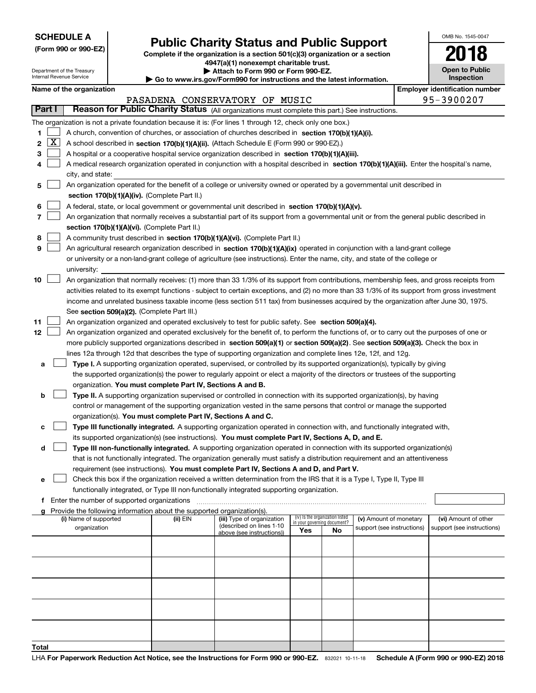|  | <b>SCHEDULE A</b> |
|--|-------------------|
|--|-------------------|

Department of the Treasury Internal Revenue Service

**(Form 990 or 990-EZ)**

## **Public Charity Status and Public Support**

**Complete if the organization is a section 501(c)(3) organization or a section 4947(a)(1) nonexempt charitable trust.**

| Attach to Form 990 or Form 990-EZ. |
|------------------------------------|
|                                    |

**| Go to www.irs.gov/Form990 for instructions and the latest information.**

| OMB No. 1545-0047                   |
|-------------------------------------|
| Q<br>201                            |
| <b>Open to Public</b><br>Inspection |

**Name of the organization Employer identification number**

| Name of the organization |      |
|--------------------------|------|
|                          | י גם |

|                   |                                                                                                                                               |                                                                                                                                           |          | PASADENA CONSERVATORY OF MUSIC                         |                             |                                 |                            |  | 95-3900207                 |
|-------------------|-----------------------------------------------------------------------------------------------------------------------------------------------|-------------------------------------------------------------------------------------------------------------------------------------------|----------|--------------------------------------------------------|-----------------------------|---------------------------------|----------------------------|--|----------------------------|
| <b>Part I</b>     | Reason for Public Charity Status (All organizations must complete this part.) See instructions.                                               |                                                                                                                                           |          |                                                        |                             |                                 |                            |  |                            |
|                   | The organization is not a private foundation because it is: (For lines 1 through 12, check only one box.)                                     |                                                                                                                                           |          |                                                        |                             |                                 |                            |  |                            |
| 1.                | A church, convention of churches, or association of churches described in section 170(b)(1)(A)(i).                                            |                                                                                                                                           |          |                                                        |                             |                                 |                            |  |                            |
| $\mathbf{X}$<br>2 | A school described in section 170(b)(1)(A)(ii). (Attach Schedule E (Form 990 or 990-EZ).)                                                     |                                                                                                                                           |          |                                                        |                             |                                 |                            |  |                            |
| З                 | A hospital or a cooperative hospital service organization described in section 170(b)(1)(A)(iii).                                             |                                                                                                                                           |          |                                                        |                             |                                 |                            |  |                            |
|                   | A medical research organization operated in conjunction with a hospital described in section 170(b)(1)(A)(iii). Enter the hospital's name,    |                                                                                                                                           |          |                                                        |                             |                                 |                            |  |                            |
|                   | city, and state:                                                                                                                              |                                                                                                                                           |          |                                                        |                             |                                 |                            |  |                            |
| 5                 | An organization operated for the benefit of a college or university owned or operated by a governmental unit described in                     |                                                                                                                                           |          |                                                        |                             |                                 |                            |  |                            |
|                   | section 170(b)(1)(A)(iv). (Complete Part II.)                                                                                                 |                                                                                                                                           |          |                                                        |                             |                                 |                            |  |                            |
| 6                 |                                                                                                                                               | A federal, state, or local government or governmental unit described in section 170(b)(1)(A)(v).                                          |          |                                                        |                             |                                 |                            |  |                            |
| 7                 |                                                                                                                                               | An organization that normally receives a substantial part of its support from a governmental unit or from the general public described in |          |                                                        |                             |                                 |                            |  |                            |
|                   | section 170(b)(1)(A)(vi). (Complete Part II.)                                                                                                 |                                                                                                                                           |          |                                                        |                             |                                 |                            |  |                            |
| 8                 | A community trust described in section 170(b)(1)(A)(vi). (Complete Part II.)                                                                  |                                                                                                                                           |          |                                                        |                             |                                 |                            |  |                            |
| 9                 | An agricultural research organization described in section 170(b)(1)(A)(ix) operated in conjunction with a land-grant college                 |                                                                                                                                           |          |                                                        |                             |                                 |                            |  |                            |
|                   | or university or a non-land-grant college of agriculture (see instructions). Enter the name, city, and state of the college or                |                                                                                                                                           |          |                                                        |                             |                                 |                            |  |                            |
|                   | university:                                                                                                                                   |                                                                                                                                           |          |                                                        |                             |                                 |                            |  |                            |
| 10                | An organization that normally receives: (1) more than 33 1/3% of its support from contributions, membership fees, and gross receipts from     |                                                                                                                                           |          |                                                        |                             |                                 |                            |  |                            |
|                   | activities related to its exempt functions - subject to certain exceptions, and (2) no more than 33 1/3% of its support from gross investment |                                                                                                                                           |          |                                                        |                             |                                 |                            |  |                            |
|                   | income and unrelated business taxable income (less section 511 tax) from businesses acquired by the organization after June 30, 1975.         |                                                                                                                                           |          |                                                        |                             |                                 |                            |  |                            |
|                   | See section 509(a)(2). (Complete Part III.)                                                                                                   |                                                                                                                                           |          |                                                        |                             |                                 |                            |  |                            |
| 11                | An organization organized and operated exclusively to test for public safety. See section 509(a)(4).                                          |                                                                                                                                           |          |                                                        |                             |                                 |                            |  |                            |
| 12                | An organization organized and operated exclusively for the benefit of, to perform the functions of, or to carry out the purposes of one or    |                                                                                                                                           |          |                                                        |                             |                                 |                            |  |                            |
|                   | more publicly supported organizations described in section 509(a)(1) or section 509(a)(2). See section 509(a)(3). Check the box in            |                                                                                                                                           |          |                                                        |                             |                                 |                            |  |                            |
|                   | lines 12a through 12d that describes the type of supporting organization and complete lines 12e, 12f, and 12g.                                |                                                                                                                                           |          |                                                        |                             |                                 |                            |  |                            |
| а                 | Type I. A supporting organization operated, supervised, or controlled by its supported organization(s), typically by giving                   |                                                                                                                                           |          |                                                        |                             |                                 |                            |  |                            |
|                   | the supported organization(s) the power to regularly appoint or elect a majority of the directors or trustees of the supporting               |                                                                                                                                           |          |                                                        |                             |                                 |                            |  |                            |
|                   | organization. You must complete Part IV, Sections A and B.                                                                                    |                                                                                                                                           |          |                                                        |                             |                                 |                            |  |                            |
| b                 | Type II. A supporting organization supervised or controlled in connection with its supported organization(s), by having                       |                                                                                                                                           |          |                                                        |                             |                                 |                            |  |                            |
|                   | control or management of the supporting organization vested in the same persons that control or manage the supported                          |                                                                                                                                           |          |                                                        |                             |                                 |                            |  |                            |
|                   | organization(s). You must complete Part IV, Sections A and C.                                                                                 |                                                                                                                                           |          |                                                        |                             |                                 |                            |  |                            |
| с                 | Type III functionally integrated. A supporting organization operated in connection with, and functionally integrated with,                    |                                                                                                                                           |          |                                                        |                             |                                 |                            |  |                            |
|                   | its supported organization(s) (see instructions). You must complete Part IV, Sections A, D, and E.                                            |                                                                                                                                           |          |                                                        |                             |                                 |                            |  |                            |
| d                 | Type III non-functionally integrated. A supporting organization operated in connection with its supported organization(s)                     |                                                                                                                                           |          |                                                        |                             |                                 |                            |  |                            |
|                   | that is not functionally integrated. The organization generally must satisfy a distribution requirement and an attentiveness                  |                                                                                                                                           |          |                                                        |                             |                                 |                            |  |                            |
|                   | requirement (see instructions). You must complete Part IV, Sections A and D, and Part V.                                                      |                                                                                                                                           |          |                                                        |                             |                                 |                            |  |                            |
| е                 | Check this box if the organization received a written determination from the IRS that it is a Type I, Type II, Type III                       |                                                                                                                                           |          |                                                        |                             |                                 |                            |  |                            |
|                   | functionally integrated, or Type III non-functionally integrated supporting organization.                                                     |                                                                                                                                           |          |                                                        |                             |                                 |                            |  |                            |
|                   | <b>f</b> Enter the number of supported organizations                                                                                          |                                                                                                                                           |          |                                                        |                             |                                 |                            |  |                            |
|                   | Provide the following information about the supported organization(s).                                                                        |                                                                                                                                           |          |                                                        |                             | (iv) Is the organization listed |                            |  |                            |
|                   | (i) Name of supported                                                                                                                         |                                                                                                                                           | (ii) EIN | (iii) Type of organization<br>(described on lines 1-10 | in your governing document? |                                 | (v) Amount of monetary     |  | (vi) Amount of other       |
|                   | organization                                                                                                                                  |                                                                                                                                           |          | above (see instructions))                              | Yes                         | No                              | support (see instructions) |  | support (see instructions) |
|                   |                                                                                                                                               |                                                                                                                                           |          |                                                        |                             |                                 |                            |  |                            |
|                   |                                                                                                                                               |                                                                                                                                           |          |                                                        |                             |                                 |                            |  |                            |
|                   |                                                                                                                                               |                                                                                                                                           |          |                                                        |                             |                                 |                            |  |                            |
|                   |                                                                                                                                               |                                                                                                                                           |          |                                                        |                             |                                 |                            |  |                            |
|                   |                                                                                                                                               |                                                                                                                                           |          |                                                        |                             |                                 |                            |  |                            |
|                   |                                                                                                                                               |                                                                                                                                           |          |                                                        |                             |                                 |                            |  |                            |
|                   |                                                                                                                                               |                                                                                                                                           |          |                                                        |                             |                                 |                            |  |                            |
|                   |                                                                                                                                               |                                                                                                                                           |          |                                                        |                             |                                 |                            |  |                            |
|                   |                                                                                                                                               |                                                                                                                                           |          |                                                        |                             |                                 |                            |  |                            |
| Total             |                                                                                                                                               |                                                                                                                                           |          |                                                        |                             |                                 |                            |  |                            |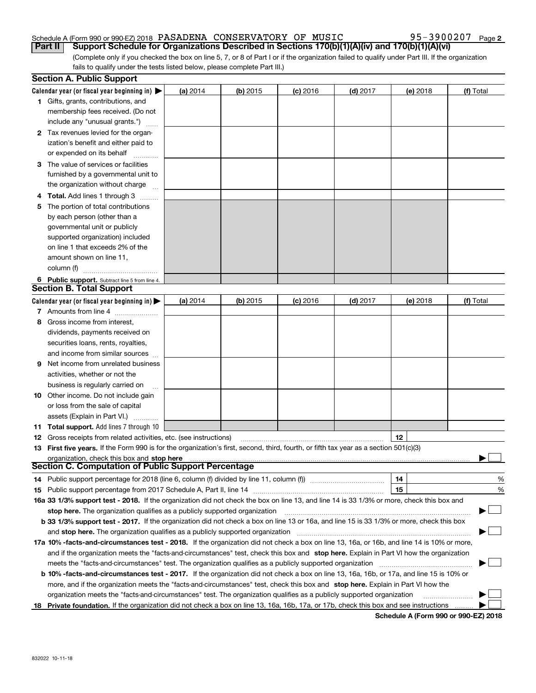### Schedule A (Form 990 or 990-EZ) 2018 PASADENA CONSERVATORY OF MUSIC 95-3900207 Page **Part II Support Schedule for Organizations Described in Sections 170(b)(1)(A)(iv) and 170(b)(1)(A)(vi)**

**2**

(Complete only if you checked the box on line 5, 7, or 8 of Part I or if the organization failed to qualify under Part III. If the organization fails to qualify under the tests listed below, please complete Part III.)

|     | <b>Section A. Public Support</b>                                                                                                               |            |          |            |            |          |           |
|-----|------------------------------------------------------------------------------------------------------------------------------------------------|------------|----------|------------|------------|----------|-----------|
|     | Calendar year (or fiscal year beginning in) $\blacktriangleright$                                                                              | (a) 2014   | (b) 2015 | $(c)$ 2016 | $(d)$ 2017 | (e) 2018 | (f) Total |
|     | <b>1</b> Gifts, grants, contributions, and                                                                                                     |            |          |            |            |          |           |
|     | membership fees received. (Do not                                                                                                              |            |          |            |            |          |           |
|     | include any "unusual grants.")                                                                                                                 |            |          |            |            |          |           |
|     | 2 Tax revenues levied for the organ-                                                                                                           |            |          |            |            |          |           |
|     | ization's benefit and either paid to                                                                                                           |            |          |            |            |          |           |
|     | or expended on its behalf                                                                                                                      |            |          |            |            |          |           |
|     | 3 The value of services or facilities                                                                                                          |            |          |            |            |          |           |
|     | furnished by a governmental unit to                                                                                                            |            |          |            |            |          |           |
|     | the organization without charge                                                                                                                |            |          |            |            |          |           |
|     | <b>4 Total.</b> Add lines 1 through 3                                                                                                          |            |          |            |            |          |           |
| 5.  | The portion of total contributions                                                                                                             |            |          |            |            |          |           |
|     | by each person (other than a                                                                                                                   |            |          |            |            |          |           |
|     | governmental unit or publicly                                                                                                                  |            |          |            |            |          |           |
|     | supported organization) included                                                                                                               |            |          |            |            |          |           |
|     | on line 1 that exceeds 2% of the                                                                                                               |            |          |            |            |          |           |
|     | amount shown on line 11,                                                                                                                       |            |          |            |            |          |           |
|     | column (f)                                                                                                                                     |            |          |            |            |          |           |
|     | 6 Public support. Subtract line 5 from line 4.                                                                                                 |            |          |            |            |          |           |
|     | <b>Section B. Total Support</b>                                                                                                                |            |          |            |            |          |           |
|     | Calendar year (or fiscal year beginning in) $\blacktriangleright$                                                                              | (a) $2014$ | (b) 2015 | $(c)$ 2016 | $(d)$ 2017 | (e) 2018 | (f) Total |
|     | 7 Amounts from line 4                                                                                                                          |            |          |            |            |          |           |
| 8   | Gross income from interest,                                                                                                                    |            |          |            |            |          |           |
|     | dividends, payments received on                                                                                                                |            |          |            |            |          |           |
|     | securities loans, rents, royalties,                                                                                                            |            |          |            |            |          |           |
|     | and income from similar sources                                                                                                                |            |          |            |            |          |           |
| 9.  | Net income from unrelated business                                                                                                             |            |          |            |            |          |           |
|     | activities, whether or not the                                                                                                                 |            |          |            |            |          |           |
|     | business is regularly carried on                                                                                                               |            |          |            |            |          |           |
|     | <b>10</b> Other income. Do not include gain                                                                                                    |            |          |            |            |          |           |
|     | or loss from the sale of capital                                                                                                               |            |          |            |            |          |           |
|     | assets (Explain in Part VI.)                                                                                                                   |            |          |            |            |          |           |
|     | 11 Total support. Add lines 7 through 10                                                                                                       |            |          |            |            |          |           |
|     | <b>12</b> Gross receipts from related activities, etc. (see instructions)                                                                      |            |          |            |            | 12       |           |
|     | 13 First five years. If the Form 990 is for the organization's first, second, third, fourth, or fifth tax year as a section 501(c)(3)          |            |          |            |            |          |           |
|     | organization, check this box and stop here                                                                                                     |            |          |            |            |          |           |
|     | <b>Section C. Computation of Public Support Percentage</b>                                                                                     |            |          |            |            |          |           |
|     | 14 Public support percentage for 2018 (line 6, column (f) divided by line 11, column (f) <i>marrouum</i> manu-                                 |            |          |            |            | 14       | %         |
|     |                                                                                                                                                |            |          |            |            | 15       | %         |
|     | 16a 33 1/3% support test - 2018. If the organization did not check the box on line 13, and line 14 is 33 1/3% or more, check this box and      |            |          |            |            |          |           |
|     | stop here. The organization qualifies as a publicly supported organization                                                                     |            |          |            |            |          | $\sim$    |
|     | b 33 1/3% support test - 2017. If the organization did not check a box on line 13 or 16a, and line 15 is 33 1/3% or more, check this box       |            |          |            |            |          |           |
|     | and stop here. The organization qualifies as a publicly supported organization                                                                 |            |          |            |            |          |           |
|     | 17a 10% -facts-and-circumstances test - 2018. If the organization did not check a box on line 13, 16a, or 16b, and line 14 is 10% or more,     |            |          |            |            |          |           |
|     | and if the organization meets the "facts-and-circumstances" test, check this box and stop here. Explain in Part VI how the organization        |            |          |            |            |          |           |
|     | meets the "facts-and-circumstances" test. The organization qualifies as a publicly supported organization                                      |            |          |            |            |          |           |
|     | <b>b 10% -facts-and-circumstances test - 2017.</b> If the organization did not check a box on line 13, 16a, 16b, or 17a, and line 15 is 10% or |            |          |            |            |          |           |
|     | more, and if the organization meets the "facts-and-circumstances" test, check this box and stop here. Explain in Part VI how the               |            |          |            |            |          |           |
|     | organization meets the "facts-and-circumstances" test. The organization qualifies as a publicly supported organization                         |            |          |            |            |          |           |
| 18. | Private foundation. If the organization did not check a box on line 13, 16a, 16b, 17a, or 17b, check this box and see instructions             |            |          |            |            |          |           |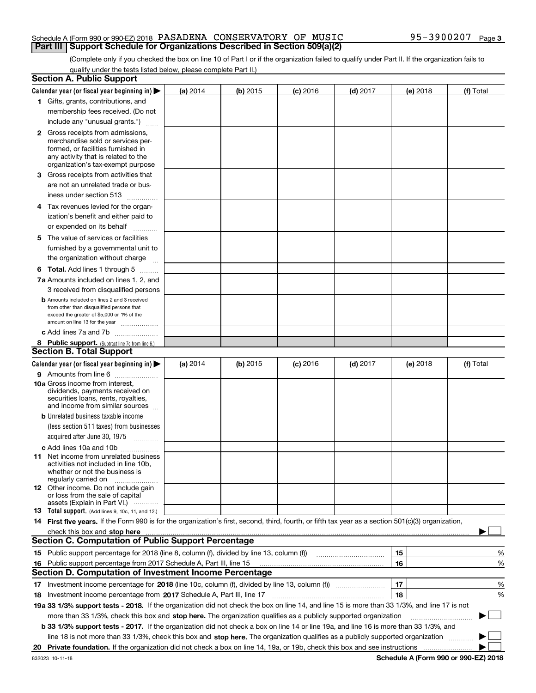### Schedule A (Form 990 or 990-EZ) 2018 PASADENA CONSERVATORY OF MUSIC 95-3900207 Page **Part III** | Support Schedule for Organizations Described in Section 509(a)(2)

(Complete only if you checked the box on line 10 of Part I or if the organization failed to qualify under Part II. If the organization fails to qualify under the tests listed below, please complete Part II.)

|    | <b>Section A. Public Support</b>                                                                                                                    |            |          |            |            |          |  |             |
|----|-----------------------------------------------------------------------------------------------------------------------------------------------------|------------|----------|------------|------------|----------|--|-------------|
|    | Calendar year (or fiscal year beginning in) $\blacktriangleright$                                                                                   | (a) 2014   | (b) 2015 | $(c)$ 2016 | $(d)$ 2017 | (e) 2018 |  | (f) Total   |
|    | 1 Gifts, grants, contributions, and                                                                                                                 |            |          |            |            |          |  |             |
|    | membership fees received. (Do not                                                                                                                   |            |          |            |            |          |  |             |
|    | include any "unusual grants.")                                                                                                                      |            |          |            |            |          |  |             |
|    | <b>2</b> Gross receipts from admissions,                                                                                                            |            |          |            |            |          |  |             |
|    | merchandise sold or services per-                                                                                                                   |            |          |            |            |          |  |             |
|    | formed, or facilities furnished in                                                                                                                  |            |          |            |            |          |  |             |
|    | any activity that is related to the<br>organization's tax-exempt purpose                                                                            |            |          |            |            |          |  |             |
|    | 3 Gross receipts from activities that                                                                                                               |            |          |            |            |          |  |             |
|    | are not an unrelated trade or bus-                                                                                                                  |            |          |            |            |          |  |             |
|    |                                                                                                                                                     |            |          |            |            |          |  |             |
|    | iness under section 513                                                                                                                             |            |          |            |            |          |  |             |
|    | 4 Tax revenues levied for the organ-                                                                                                                |            |          |            |            |          |  |             |
|    | ization's benefit and either paid to                                                                                                                |            |          |            |            |          |  |             |
|    | or expended on its behalf<br>.                                                                                                                      |            |          |            |            |          |  |             |
|    | 5 The value of services or facilities                                                                                                               |            |          |            |            |          |  |             |
|    | furnished by a governmental unit to                                                                                                                 |            |          |            |            |          |  |             |
|    | the organization without charge                                                                                                                     |            |          |            |            |          |  |             |
|    | <b>6 Total.</b> Add lines 1 through 5                                                                                                               |            |          |            |            |          |  |             |
|    | 7a Amounts included on lines 1, 2, and                                                                                                              |            |          |            |            |          |  |             |
|    | 3 received from disqualified persons                                                                                                                |            |          |            |            |          |  |             |
|    | <b>b</b> Amounts included on lines 2 and 3 received                                                                                                 |            |          |            |            |          |  |             |
|    | from other than disqualified persons that                                                                                                           |            |          |            |            |          |  |             |
|    | exceed the greater of \$5,000 or 1% of the<br>amount on line 13 for the year                                                                        |            |          |            |            |          |  |             |
|    | c Add lines 7a and 7b                                                                                                                               |            |          |            |            |          |  |             |
|    | 8 Public support. (Subtract line 7c from line 6.)                                                                                                   |            |          |            |            |          |  |             |
|    | <b>Section B. Total Support</b>                                                                                                                     |            |          |            |            |          |  |             |
|    | Calendar year (or fiscal year beginning in) $\blacktriangleright$                                                                                   | (a) $2014$ | (b) 2015 | $(c)$ 2016 | $(d)$ 2017 | (e) 2018 |  | (f) Total   |
|    | 9 Amounts from line 6                                                                                                                               |            |          |            |            |          |  |             |
|    | <b>10a</b> Gross income from interest,                                                                                                              |            |          |            |            |          |  |             |
|    | dividends, payments received on                                                                                                                     |            |          |            |            |          |  |             |
|    | securities loans, rents, royalties,<br>and income from similar sources                                                                              |            |          |            |            |          |  |             |
|    | <b>b</b> Unrelated business taxable income                                                                                                          |            |          |            |            |          |  |             |
|    | (less section 511 taxes) from businesses                                                                                                            |            |          |            |            |          |  |             |
|    | acquired after June 30, 1975                                                                                                                        |            |          |            |            |          |  |             |
|    |                                                                                                                                                     |            |          |            |            |          |  |             |
|    | c Add lines 10a and 10b<br>11 Net income from unrelated business                                                                                    |            |          |            |            |          |  |             |
|    | activities not included in line 10b,                                                                                                                |            |          |            |            |          |  |             |
|    | whether or not the business is                                                                                                                      |            |          |            |            |          |  |             |
|    | regularly carried on                                                                                                                                |            |          |            |            |          |  |             |
|    | <b>12</b> Other income. Do not include gain<br>or loss from the sale of capital                                                                     |            |          |            |            |          |  |             |
|    | assets (Explain in Part VI.)                                                                                                                        |            |          |            |            |          |  |             |
|    | 13 Total support. (Add lines 9, 10c, 11, and 12.)                                                                                                   |            |          |            |            |          |  |             |
|    | 14 First five years. If the Form 990 is for the organization's first, second, third, fourth, or fifth tax year as a section 501(c)(3) organization, |            |          |            |            |          |  |             |
|    | check this box and stop here <i>macuum macuum macuum macuum macuum macuum macuum macuum macuum</i>                                                  |            |          |            |            |          |  |             |
|    | <b>Section C. Computation of Public Support Percentage</b>                                                                                          |            |          |            |            |          |  |             |
|    | 15 Public support percentage for 2018 (line 8, column (f), divided by line 13, column (f))                                                          |            |          |            |            | 15       |  | %           |
| 16 | Public support percentage from 2017 Schedule A, Part III, line 15                                                                                   |            |          |            |            | 16       |  | %           |
|    | Section D. Computation of Investment Income Percentage                                                                                              |            |          |            |            |          |  |             |
|    | 17 Investment income percentage for 2018 (line 10c, column (f), divided by line 13, column (f))                                                     |            |          |            |            | 17       |  | %           |
|    | 18 Investment income percentage from 2017 Schedule A, Part III, line 17                                                                             |            |          |            |            | 18       |  | %           |
|    | 19a 33 1/3% support tests - 2018. If the organization did not check the box on line 14, and line 15 is more than 33 1/3%, and line 17 is not        |            |          |            |            |          |  |             |
|    | more than 33 1/3%, check this box and stop here. The organization qualifies as a publicly supported organization                                    |            |          |            |            |          |  | $\sim$<br>▶ |
|    | b 33 1/3% support tests - 2017. If the organization did not check a box on line 14 or line 19a, and line 16 is more than 33 1/3%, and               |            |          |            |            |          |  |             |
|    | line 18 is not more than 33 1/3%, check this box and stop here. The organization qualifies as a publicly supported organization                     |            |          |            |            |          |  |             |
|    |                                                                                                                                                     |            |          |            |            |          |  |             |
|    |                                                                                                                                                     |            |          |            |            |          |  |             |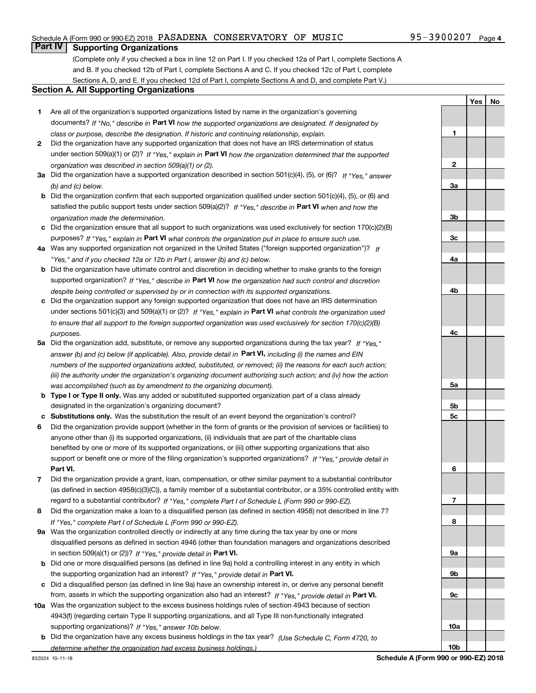## Schedule A (Form 990 or 990-EZ) 2018 PASADENA CONSERVATORY OF MUSIC 95-3900207 Page

## **Part IV Supporting Organizations**

(Complete only if you checked a box in line 12 on Part I. If you checked 12a of Part I, complete Sections A and B. If you checked 12b of Part I, complete Sections A and C. If you checked 12c of Part I, complete Sections A, D, and E. If you checked 12d of Part I, complete Sections A and D, and complete Part V.)

### **Section A. All Supporting Organizations**

- **1** Are all of the organization's supported organizations listed by name in the organization's governing documents? If "No," describe in **Part VI** how the supported organizations are designated. If designated by *class or purpose, describe the designation. If historic and continuing relationship, explain.*
- **2** Did the organization have any supported organization that does not have an IRS determination of status under section 509(a)(1) or (2)? If "Yes," explain in Part VI how the organization determined that the supported *organization was described in section 509(a)(1) or (2).*
- **3a** Did the organization have a supported organization described in section 501(c)(4), (5), or (6)? If "Yes," answer *(b) and (c) below.*
- **b** Did the organization confirm that each supported organization qualified under section 501(c)(4), (5), or (6) and satisfied the public support tests under section 509(a)(2)? If "Yes," describe in **Part VI** when and how the *organization made the determination.*
- **c**Did the organization ensure that all support to such organizations was used exclusively for section 170(c)(2)(B) purposes? If "Yes," explain in **Part VI** what controls the organization put in place to ensure such use.
- **4a***If* Was any supported organization not organized in the United States ("foreign supported organization")? *"Yes," and if you checked 12a or 12b in Part I, answer (b) and (c) below.*
- **b** Did the organization have ultimate control and discretion in deciding whether to make grants to the foreign supported organization? If "Yes," describe in **Part VI** how the organization had such control and discretion *despite being controlled or supervised by or in connection with its supported organizations.*
- **c** Did the organization support any foreign supported organization that does not have an IRS determination under sections 501(c)(3) and 509(a)(1) or (2)? If "Yes," explain in **Part VI** what controls the organization used *to ensure that all support to the foreign supported organization was used exclusively for section 170(c)(2)(B) purposes.*
- **5a***If "Yes,"* Did the organization add, substitute, or remove any supported organizations during the tax year? answer (b) and (c) below (if applicable). Also, provide detail in **Part VI,** including (i) the names and EIN *numbers of the supported organizations added, substituted, or removed; (ii) the reasons for each such action; (iii) the authority under the organization's organizing document authorizing such action; and (iv) how the action was accomplished (such as by amendment to the organizing document).*
- **b** Type I or Type II only. Was any added or substituted supported organization part of a class already designated in the organization's organizing document?
- **cSubstitutions only.**  Was the substitution the result of an event beyond the organization's control?
- **6** Did the organization provide support (whether in the form of grants or the provision of services or facilities) to **Part VI.** *If "Yes," provide detail in* support or benefit one or more of the filing organization's supported organizations? anyone other than (i) its supported organizations, (ii) individuals that are part of the charitable class benefited by one or more of its supported organizations, or (iii) other supporting organizations that also
- **7**Did the organization provide a grant, loan, compensation, or other similar payment to a substantial contributor *If "Yes," complete Part I of Schedule L (Form 990 or 990-EZ).* regard to a substantial contributor? (as defined in section 4958(c)(3)(C)), a family member of a substantial contributor, or a 35% controlled entity with
- **8** Did the organization make a loan to a disqualified person (as defined in section 4958) not described in line 7? *If "Yes," complete Part I of Schedule L (Form 990 or 990-EZ).*
- **9a** Was the organization controlled directly or indirectly at any time during the tax year by one or more in section 509(a)(1) or (2))? If "Yes," *provide detail in* <code>Part VI.</code> disqualified persons as defined in section 4946 (other than foundation managers and organizations described
- **b** Did one or more disqualified persons (as defined in line 9a) hold a controlling interest in any entity in which the supporting organization had an interest? If "Yes," provide detail in P**art VI**.
- **c**Did a disqualified person (as defined in line 9a) have an ownership interest in, or derive any personal benefit from, assets in which the supporting organization also had an interest? If "Yes," provide detail in P**art VI.**
- **10a** Was the organization subject to the excess business holdings rules of section 4943 because of section supporting organizations)? If "Yes," answer 10b below. 4943(f) (regarding certain Type II supporting organizations, and all Type III non-functionally integrated
- **b** Did the organization have any excess business holdings in the tax year? (Use Schedule C, Form 4720, to *determine whether the organization had excess business holdings.)*

**1**

**2**

**YesNo**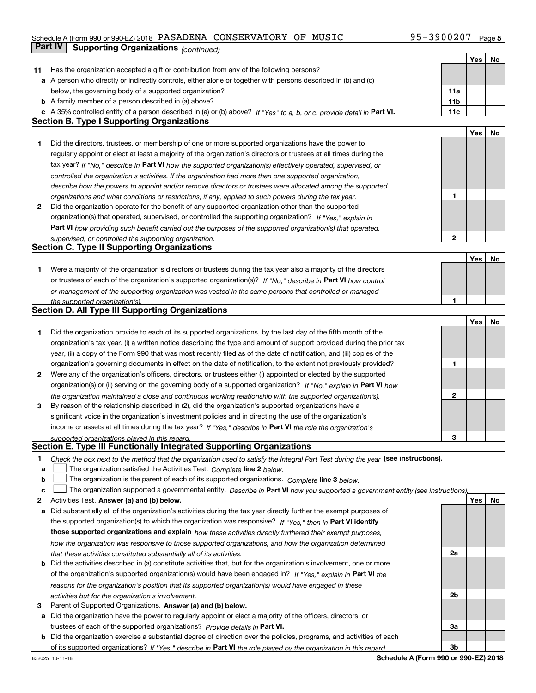## Schedule A (Form 990 or 990-EZ) 2018 PASADENA CONSERVATORY OF MUSIC 95-3900207 Page **Part IV Supporting Organizations** *(continued)*

|    |                                                                                                                                                                                                                     |     | Yes        | No |
|----|---------------------------------------------------------------------------------------------------------------------------------------------------------------------------------------------------------------------|-----|------------|----|
| 11 | Has the organization accepted a gift or contribution from any of the following persons?                                                                                                                             |     |            |    |
|    | a A person who directly or indirectly controls, either alone or together with persons described in (b) and (c)                                                                                                      |     |            |    |
|    | below, the governing body of a supported organization?                                                                                                                                                              | 11a |            |    |
|    | <b>b</b> A family member of a person described in (a) above?                                                                                                                                                        | 11b |            |    |
|    | c A 35% controlled entity of a person described in (a) or (b) above? If "Yes" to a, b, or c, provide detail in Part VI.                                                                                             | 11c |            |    |
|    | <b>Section B. Type I Supporting Organizations</b>                                                                                                                                                                   |     |            |    |
|    |                                                                                                                                                                                                                     |     | Yes        | No |
| 1  | Did the directors, trustees, or membership of one or more supported organizations have the power to                                                                                                                 |     |            |    |
|    | regularly appoint or elect at least a majority of the organization's directors or trustees at all times during the                                                                                                  |     |            |    |
|    | tax year? If "No," describe in Part VI how the supported organization(s) effectively operated, supervised, or                                                                                                       |     |            |    |
|    | controlled the organization's activities. If the organization had more than one supported organization,                                                                                                             |     |            |    |
|    | describe how the powers to appoint and/or remove directors or trustees were allocated among the supported                                                                                                           |     |            |    |
|    | organizations and what conditions or restrictions, if any, applied to such powers during the tax year.                                                                                                              | 1   |            |    |
| 2  | Did the organization operate for the benefit of any supported organization other than the supported                                                                                                                 |     |            |    |
|    | organization(s) that operated, supervised, or controlled the supporting organization? If "Yes," explain in                                                                                                          |     |            |    |
|    | Part VI how providing such benefit carried out the purposes of the supported organization(s) that operated,                                                                                                         |     |            |    |
|    | supervised, or controlled the supporting organization.                                                                                                                                                              | 2   |            |    |
|    | <b>Section C. Type II Supporting Organizations</b>                                                                                                                                                                  |     |            |    |
|    |                                                                                                                                                                                                                     |     | Yes        | No |
| 1  | Were a majority of the organization's directors or trustees during the tax year also a majority of the directors                                                                                                    |     |            |    |
|    | or trustees of each of the organization's supported organization(s)? If "No," describe in Part VI how control                                                                                                       |     |            |    |
|    | or management of the supporting organization was vested in the same persons that controlled or managed                                                                                                              |     |            |    |
|    | the supported organization(s).                                                                                                                                                                                      | 1   |            |    |
|    | <b>Section D. All Type III Supporting Organizations</b>                                                                                                                                                             |     |            |    |
|    |                                                                                                                                                                                                                     |     | <b>Yes</b> | No |
| 1  | Did the organization provide to each of its supported organizations, by the last day of the fifth month of the                                                                                                      |     |            |    |
|    | organization's tax year, (i) a written notice describing the type and amount of support provided during the prior tax                                                                                               |     |            |    |
|    | year, (ii) a copy of the Form 990 that was most recently filed as of the date of notification, and (iii) copies of the                                                                                              |     |            |    |
|    | organization's governing documents in effect on the date of notification, to the extent not previously provided?                                                                                                    | 1   |            |    |
| 2  | Were any of the organization's officers, directors, or trustees either (i) appointed or elected by the supported                                                                                                    |     |            |    |
|    | organization(s) or (ii) serving on the governing body of a supported organization? If "No," explain in Part VI how                                                                                                  |     |            |    |
| 3  | the organization maintained a close and continuous working relationship with the supported organization(s).                                                                                                         | 2   |            |    |
|    | By reason of the relationship described in (2), did the organization's supported organizations have a<br>significant voice in the organization's investment policies and in directing the use of the organization's |     |            |    |
|    | income or assets at all times during the tax year? If "Yes," describe in Part VI the role the organization's                                                                                                        |     |            |    |
|    | supported organizations played in this regard.                                                                                                                                                                      | З   |            |    |
|    | Section E. Type III Functionally Integrated Supporting Organizations                                                                                                                                                |     |            |    |
| 1  | Check the box next to the method that the organization used to satisfy the Integral Part Test during the year (see instructions).                                                                                   |     |            |    |
| a  | The organization satisfied the Activities Test. Complete line 2 below.                                                                                                                                              |     |            |    |
| b  | The organization is the parent of each of its supported organizations. Complete line 3 below.                                                                                                                       |     |            |    |
| c  | The organization supported a governmental entity. Describe in Part VI how you supported a government entity (see instructions).                                                                                     |     |            |    |
| 2  | Activities Test. Answer (a) and (b) below.                                                                                                                                                                          |     | Yes        | No |
| а  | Did substantially all of the organization's activities during the tax year directly further the exempt purposes of                                                                                                  |     |            |    |
|    | the supported organization(s) to which the organization was responsive? If "Yes," then in Part VI identify                                                                                                          |     |            |    |
|    | those supported organizations and explain how these activities directly furthered their exempt purposes,                                                                                                            |     |            |    |
|    | how the organization was responsive to those supported organizations, and how the organization determined                                                                                                           |     |            |    |
|    | that these activities constituted substantially all of its activities.                                                                                                                                              | 2a  |            |    |
|    | <b>b</b> Did the activities described in (a) constitute activities that, but for the organization's involvement, one or more                                                                                        |     |            |    |
|    | of the organization's supported organization(s) would have been engaged in? If "Yes," explain in Part VI the                                                                                                        |     |            |    |
|    | reasons for the organization's position that its supported organization(s) would have engaged in these                                                                                                              |     |            |    |
|    | activities but for the organization's involvement.                                                                                                                                                                  | 2b  |            |    |
| з  | Parent of Supported Organizations. Answer (a) and (b) below.                                                                                                                                                        |     |            |    |
|    | a Did the organization have the power to regularly appoint or elect a majority of the officers, directors, or                                                                                                       |     |            |    |
|    | trustees of each of the supported organizations? Provide details in Part VI.                                                                                                                                        | За  |            |    |
|    | <b>b</b> Did the organization exercise a substantial degree of direction over the policies, programs, and activities of each                                                                                        |     |            |    |
|    | of its supported organizations? If "Yes." describe in Part VI the role played by the organization in this regard.                                                                                                   | Зb  |            |    |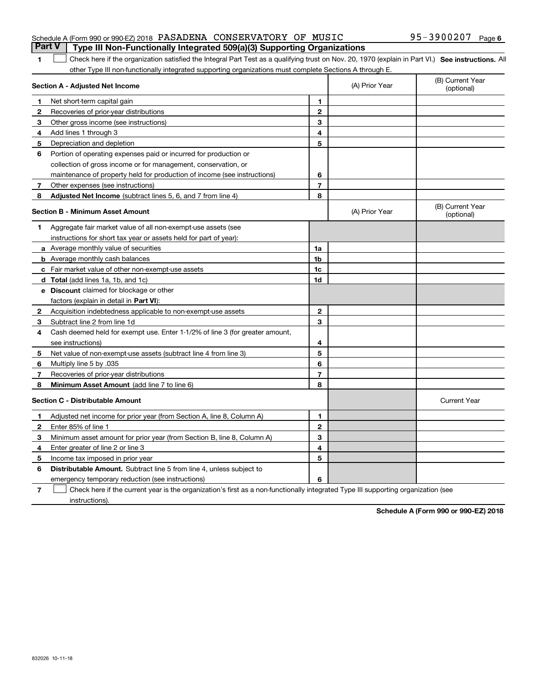## Schedule A (Form 990 or 990-EZ) 2018 PASADENA CONSERVATORY OF MUSIC 95-3900207 Page **Part V Type III Non-Functionally Integrated 509(a)(3) Supporting Organizations**

#### **SEP 10. See instructions.** All antegral Part Test as a qualifying trust on Nov. 20, 1970 (explain in Part VI.) See instructions. All other Type III non-functionally integrated supporting organizations must complete Sections A through E.  $\overline{\phantom{0}}$

|              | Section A - Adjusted Net Income                                              |                | (A) Prior Year | (B) Current Year<br>(optional) |
|--------------|------------------------------------------------------------------------------|----------------|----------------|--------------------------------|
| 1            | Net short-term capital gain                                                  | 1              |                |                                |
| 2            | Recoveries of prior-year distributions                                       | $\overline{2}$ |                |                                |
| з            | Other gross income (see instructions)                                        | 3              |                |                                |
| 4            | Add lines 1 through 3                                                        | 4              |                |                                |
| 5            | Depreciation and depletion                                                   | 5              |                |                                |
| 6            | Portion of operating expenses paid or incurred for production or             |                |                |                                |
|              | collection of gross income or for management, conservation, or               |                |                |                                |
|              | maintenance of property held for production of income (see instructions)     | 6              |                |                                |
| 7            | Other expenses (see instructions)                                            | $\overline{7}$ |                |                                |
| 8            | Adjusted Net Income (subtract lines 5, 6, and 7 from line 4)                 | 8              |                |                                |
|              | <b>Section B - Minimum Asset Amount</b>                                      |                | (A) Prior Year | (B) Current Year<br>(optional) |
| 1            | Aggregate fair market value of all non-exempt-use assets (see                |                |                |                                |
|              | instructions for short tax year or assets held for part of year):            |                |                |                                |
|              | a Average monthly value of securities                                        | 1a             |                |                                |
|              | <b>b</b> Average monthly cash balances                                       | 1b             |                |                                |
|              | c Fair market value of other non-exempt-use assets                           | 1c             |                |                                |
|              | <b>d</b> Total (add lines 1a, 1b, and 1c)                                    | 1d             |                |                                |
|              | e Discount claimed for blockage or other                                     |                |                |                                |
|              | factors (explain in detail in Part VI):                                      |                |                |                                |
| $\mathbf{2}$ | Acquisition indebtedness applicable to non-exempt-use assets                 | $\mathbf{2}$   |                |                                |
| 3            | Subtract line 2 from line 1d                                                 | 3              |                |                                |
| 4            | Cash deemed held for exempt use. Enter 1-1/2% of line 3 (for greater amount, |                |                |                                |
|              | see instructions)                                                            | 4              |                |                                |
| 5            | Net value of non-exempt-use assets (subtract line 4 from line 3)             | 5              |                |                                |
| 6            | Multiply line 5 by .035                                                      | 6              |                |                                |
| 7            | Recoveries of prior-year distributions                                       | $\overline{7}$ |                |                                |
| 8            | Minimum Asset Amount (add line 7 to line 6)                                  | 8              |                |                                |
|              | <b>Section C - Distributable Amount</b>                                      |                |                | <b>Current Year</b>            |
| $\mathbf{1}$ | Adjusted net income for prior year (from Section A, line 8, Column A)        | 1              |                |                                |
| $\mathbf{2}$ | Enter 85% of line 1                                                          | $\mathbf{2}$   |                |                                |
| 3            | Minimum asset amount for prior year (from Section B, line 8, Column A)       | 3              |                |                                |
| 4            | Enter greater of line 2 or line 3                                            | 4              |                |                                |
| 5            | Income tax imposed in prior year                                             | 5              |                |                                |
| 6            | <b>Distributable Amount.</b> Subtract line 5 from line 4, unless subject to  |                |                |                                |
|              | emergency temporary reduction (see instructions)                             | 6              |                |                                |
|              |                                                                              |                |                |                                |

**7**Check here if the current year is the organization's first as a non-functionally integrated Type III supporting organization (see instructions).

**Schedule A (Form 990 or 990-EZ) 2018**

**1**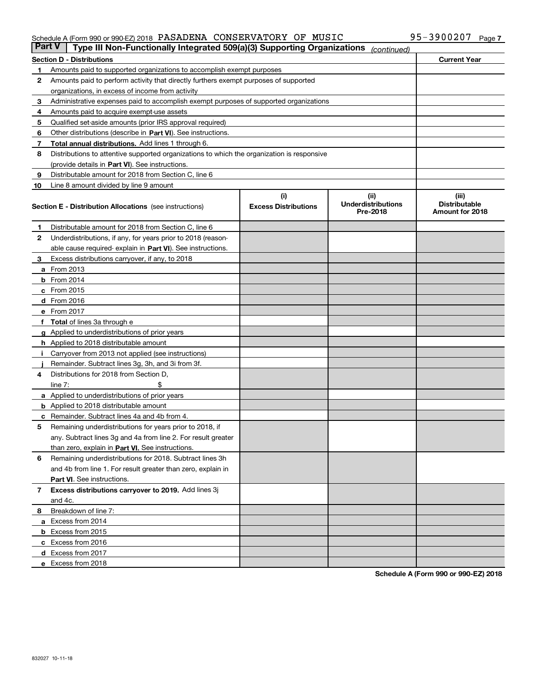### Schedule A (Form 990 or 990-EZ) 2018 PASADENA CONSERVATORY OF MUSIC 95-3900207 Page

| <b>Part V</b> | Type III Non-Functionally Integrated 509(a)(3) Supporting Organizations                    |                             | (continued)                           |                                         |
|---------------|--------------------------------------------------------------------------------------------|-----------------------------|---------------------------------------|-----------------------------------------|
|               | <b>Section D - Distributions</b>                                                           |                             |                                       | <b>Current Year</b>                     |
| 1             | Amounts paid to supported organizations to accomplish exempt purposes                      |                             |                                       |                                         |
| 2             | Amounts paid to perform activity that directly furthers exempt purposes of supported       |                             |                                       |                                         |
|               | organizations, in excess of income from activity                                           |                             |                                       |                                         |
| з             | Administrative expenses paid to accomplish exempt purposes of supported organizations      |                             |                                       |                                         |
| 4             | Amounts paid to acquire exempt-use assets                                                  |                             |                                       |                                         |
| 5             | Qualified set-aside amounts (prior IRS approval required)                                  |                             |                                       |                                         |
| 6             | Other distributions (describe in Part VI). See instructions.                               |                             |                                       |                                         |
| 7             | Total annual distributions. Add lines 1 through 6.                                         |                             |                                       |                                         |
| 8             | Distributions to attentive supported organizations to which the organization is responsive |                             |                                       |                                         |
|               | (provide details in Part VI). See instructions.                                            |                             |                                       |                                         |
| 9             | Distributable amount for 2018 from Section C, line 6                                       |                             |                                       |                                         |
| 10            | Line 8 amount divided by line 9 amount                                                     |                             |                                       |                                         |
|               |                                                                                            | (i)                         | (iii)                                 | (iii)                                   |
|               | <b>Section E - Distribution Allocations</b> (see instructions)                             | <b>Excess Distributions</b> | <b>Underdistributions</b><br>Pre-2018 | <b>Distributable</b><br>Amount for 2018 |
| 1             | Distributable amount for 2018 from Section C, line 6                                       |                             |                                       |                                         |
| 2             | Underdistributions, if any, for years prior to 2018 (reason-                               |                             |                                       |                                         |
|               | able cause required- explain in Part VI). See instructions.                                |                             |                                       |                                         |
| з             | Excess distributions carryover, if any, to 2018                                            |                             |                                       |                                         |
|               | <b>a</b> From 2013                                                                         |                             |                                       |                                         |
|               | <b>b</b> From 2014                                                                         |                             |                                       |                                         |
|               | $c$ From 2015                                                                              |                             |                                       |                                         |
|               | <b>d</b> From 2016                                                                         |                             |                                       |                                         |
|               | e From 2017                                                                                |                             |                                       |                                         |
|               | Total of lines 3a through e                                                                |                             |                                       |                                         |
|               | <b>g</b> Applied to underdistributions of prior years                                      |                             |                                       |                                         |
|               | <b>h</b> Applied to 2018 distributable amount                                              |                             |                                       |                                         |
|               | Carryover from 2013 not applied (see instructions)                                         |                             |                                       |                                         |
|               | Remainder. Subtract lines 3g, 3h, and 3i from 3f.                                          |                             |                                       |                                         |
| 4             | Distributions for 2018 from Section D,                                                     |                             |                                       |                                         |
|               | line $7:$                                                                                  |                             |                                       |                                         |
|               | <b>a</b> Applied to underdistributions of prior years                                      |                             |                                       |                                         |
|               | <b>b</b> Applied to 2018 distributable amount                                              |                             |                                       |                                         |
| c             | Remainder. Subtract lines 4a and 4b from 4.                                                |                             |                                       |                                         |
| 5             | Remaining underdistributions for years prior to 2018, if                                   |                             |                                       |                                         |
|               | any. Subtract lines 3g and 4a from line 2. For result greater                              |                             |                                       |                                         |
|               | than zero, explain in Part VI. See instructions.                                           |                             |                                       |                                         |
| 6             | Remaining underdistributions for 2018. Subtract lines 3h                                   |                             |                                       |                                         |
|               | and 4b from line 1. For result greater than zero, explain in                               |                             |                                       |                                         |
|               | Part VI. See instructions.                                                                 |                             |                                       |                                         |
| 7             | Excess distributions carryover to 2019. Add lines 3j                                       |                             |                                       |                                         |
|               | and 4c.                                                                                    |                             |                                       |                                         |
| 8             | Breakdown of line 7:                                                                       |                             |                                       |                                         |
|               | a Excess from 2014                                                                         |                             |                                       |                                         |
|               | <b>b</b> Excess from 2015                                                                  |                             |                                       |                                         |
|               | c Excess from 2016                                                                         |                             |                                       |                                         |
|               | d Excess from 2017                                                                         |                             |                                       |                                         |
|               |                                                                                            |                             |                                       |                                         |
|               | e Excess from 2018                                                                         |                             |                                       |                                         |